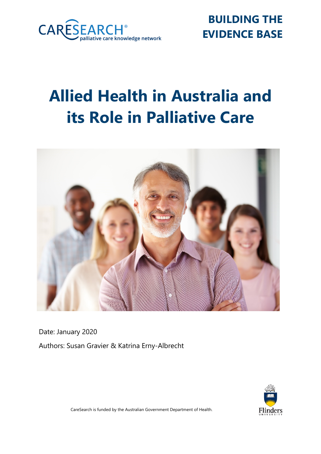

**BUILDING THE EVIDENCE BASE**

# **Allied Health in Australia and its Role in Palliative Care**



Date: January 2020 Authors: Susan Gravier & Katrina Erny-Albrecht



CareSearch is funded by the Australian Government Department of Health.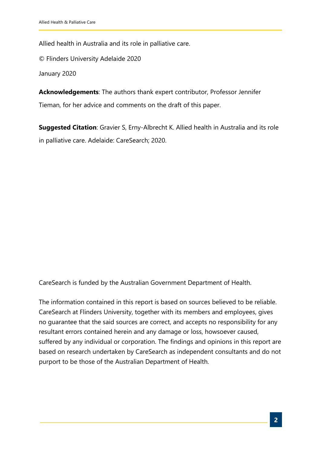Allied health in Australia and its role in palliative care.

© Flinders University Adelaide 2020

January 2020

**Acknowledgements**: The authors thank expert contributor, Professor Jennifer Tieman, for her advice and comments on the draft of this paper.

**Suggested Citation**: Gravier S, Erny-Albrecht K. Allied health in Australia and its role in palliative care. Adelaide: CareSearch; 2020.

CareSearch is funded by the Australian Government Department of Health.

The information contained in this report is based on sources believed to be reliable. CareSearch at Flinders University, together with its members and employees, gives no guarantee that the said sources are correct, and accepts no responsibility for any resultant errors contained herein and any damage or loss, howsoever caused, suffered by any individual or corporation. The findings and opinions in this report are based on research undertaken by CareSearch as independent consultants and do not purport to be those of the Australian Department of Health.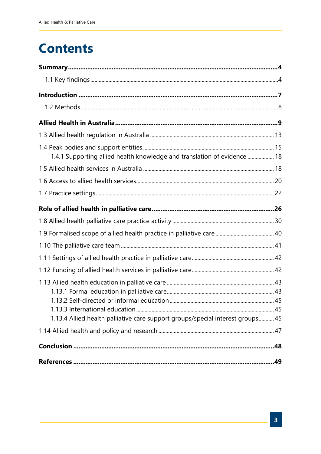## **Contents**

| 1.4.1 Supporting allied health knowledge and translation of evidence  18       |     |
|--------------------------------------------------------------------------------|-----|
|                                                                                |     |
|                                                                                |     |
|                                                                                |     |
|                                                                                |     |
|                                                                                |     |
|                                                                                |     |
|                                                                                |     |
|                                                                                |     |
|                                                                                |     |
| 1.13.4 Allied health palliative care support groups/special interest groups 45 |     |
|                                                                                |     |
|                                                                                | .48 |
|                                                                                | .49 |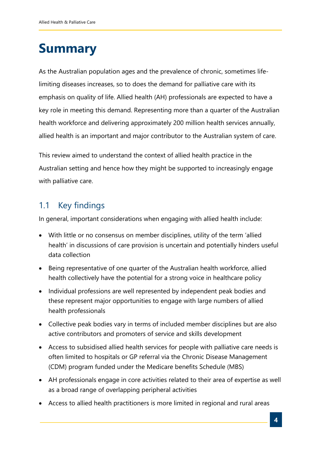## <span id="page-3-0"></span>**Summary**

As the Australian population ages and the prevalence of chronic, sometimes lifelimiting diseases increases, so to does the demand for palliative care with its emphasis on quality of life. Allied health (AH) professionals are expected to have a key role in meeting this demand. Representing more than a quarter of the Australian health workforce and delivering approximately 200 million health services annually, allied health is an important and major contributor to the Australian system of care.

This review aimed to understand the context of allied health practice in the Australian setting and hence how they might be supported to increasingly engage with palliative care.

## <span id="page-3-1"></span>1.1 Key findings

In general, important considerations when engaging with allied health include:

- With little or no consensus on member disciplines, utility of the term 'allied health' in discussions of care provision is uncertain and potentially hinders useful data collection
- Being representative of one quarter of the Australian health workforce, allied health collectively have the potential for a strong voice in healthcare policy
- Individual professions are well represented by independent peak bodies and these represent major opportunities to engage with large numbers of allied health professionals
- Collective peak bodies vary in terms of included member disciplines but are also active contributors and promoters of service and skills development
- Access to subsidised allied health services for people with palliative care needs is often limited to hospitals or GP referral via the Chronic Disease Management (CDM) program funded under the Medicare benefits Schedule (MBS)
- AH professionals engage in core activities related to their area of expertise as well as a broad range of overlapping peripheral activities
- Access to allied health practitioners is more limited in regional and rural areas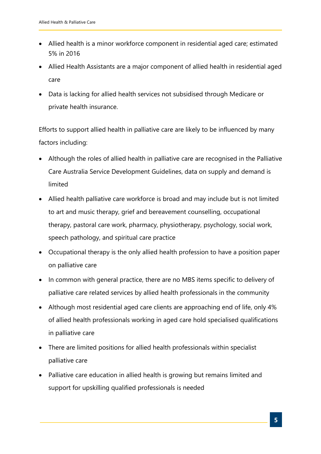- Allied health is a minor workforce component in residential aged care; estimated 5% in 2016
- Allied Health Assistants are a major component of allied health in residential aged care
- Data is lacking for allied health services not subsidised through Medicare or private health insurance.

Efforts to support allied health in palliative care are likely to be influenced by many factors including:

- Although the roles of allied health in palliative care are recognised in the Palliative Care Australia Service Development Guidelines, data on supply and demand is limited
- Allied health palliative care workforce is broad and may include but is not limited to art and music therapy, grief and bereavement counselling, occupational therapy, pastoral care work, pharmacy, physiotherapy, psychology, social work, speech pathology, and spiritual care practice
- Occupational therapy is the only allied health profession to have a position paper on palliative care
- In common with general practice, there are no MBS items specific to delivery of palliative care related services by allied health professionals in the community
- Although most residential aged care clients are approaching end of life, only 4% of allied health professionals working in aged care hold specialised qualifications in palliative care
- There are limited positions for allied health professionals within specialist palliative care
- Palliative care education in allied health is growing but remains limited and support for upskilling qualified professionals is needed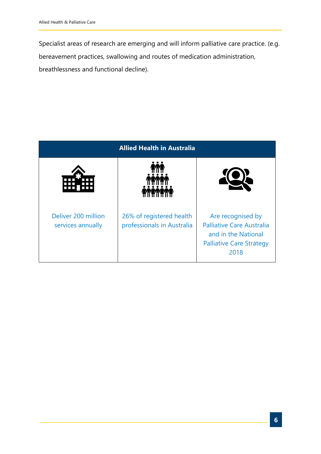Specialist areas of research are emerging and will inform palliative care practice. (e.g. bereavement practices, swallowing and routes of medication administration, breathlessness and functional decline).

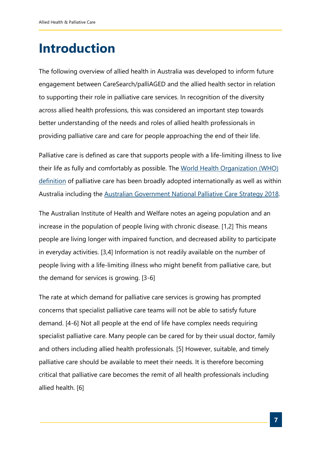## <span id="page-6-0"></span>**Introduction**

The following overview of allied health in Australia was developed to inform future engagement between CareSearch/palliAGED and the allied health sector in relation to supporting their role in palliative care services. In recognition of the diversity across allied health professions, this was considered an important step towards better understanding of the needs and roles of allied health professionals in providing palliative care and care for people approaching the end of their life.

Palliative care is defined as care that supports people with a life-limiting illness to live [their life as fully and comfortably as possible. The World Health Organization \(WHO\)](https://www.who.int/cancer/palliative/definition/en/)  definition of palliative care has been broadly adopted internationally as well as within Australia including the [Australian Government National Palliative Care Strategy 2018](https://www.health.gov.au/resources/publications/the-national-palliative-care-strategy-2018).

The Australian Institute of Health and Welfare notes an ageing population and an increase in the population of people living with chronic disease. [1,2] This means people are living longer with impaired function, and decreased ability to participate in everyday activities. [3,4] Information is not readily available on the number of people living with a life-limiting illness who might benefit from palliative care, but the demand for services is growing. [3-6]

The rate at which demand for palliative care services is growing has prompted concerns that specialist palliative care teams will not be able to satisfy future demand. [4-6] Not all people at the end of life have complex needs requiring specialist palliative care. Many people can be cared for by their usual doctor, family and others including allied health professionals. [5] However, suitable, and timely palliative care should be available to meet their needs. It is therefore becoming critical that palliative care becomes the remit of all health professionals including allied health. [6]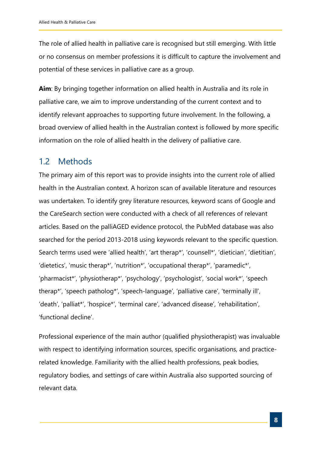The role of allied health in palliative care is recognised but still emerging. With little or no consensus on member professions it is difficult to capture the involvement and potential of these services in palliative care as a group.

**Aim**: By bringing together information on allied health in Australia and its role in palliative care, we aim to improve understanding of the current context and to identify relevant approaches to supporting future involvement. In the following, a broad overview of allied health in the Australian context is followed by more specific information on the role of allied health in the delivery of palliative care.

### <span id="page-7-0"></span>1.2 Methods

The primary aim of this report was to provide insights into the current role of allied health in the Australian context. A horizon scan of available literature and resources was undertaken. To identify grey literature resources, keyword scans of Google and the CareSearch section were conducted with a check of all references of relevant articles. Based on the palliAGED evidence protocol, the PubMed database was also searched for the period 2013-2018 using keywords relevant to the specific question. Search terms used were 'allied health', 'art therap\*', 'counsell\*', 'dietician', 'dietitian', 'dietetics', 'music therap\*', 'nutrition\*', 'occupational therap\*', 'paramedic\*', 'pharmacist\*', 'physiotherap\*', 'psychology', 'psychologist', 'social work\*', 'speech therap\*', 'speech patholog\*', 'speech-language', 'palliative care', 'terminally ill', 'death', 'palliat\*', 'hospice\*', 'terminal care', 'advanced disease', 'rehabilitation', 'functional decline'.

Professional experience of the main author (qualified physiotherapist) was invaluable with respect to identifying information sources, specific organisations, and practicerelated knowledge. Familiarity with the allied health professions, peak bodies, regulatory bodies, and settings of care within Australia also supported sourcing of relevant data.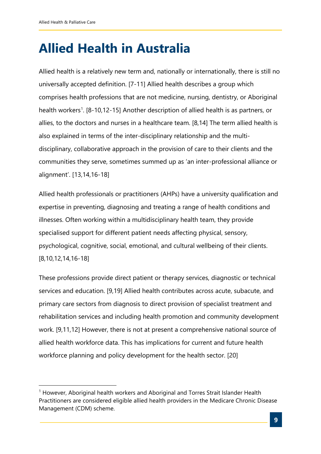## <span id="page-8-0"></span>**Allied Health in Australia**

Allied health is a relatively new term and, nationally or internationally, there is still no universally accepted definition. [7-11] Allied health describes a group which comprises health professions that are not medicine, nursing, dentistry, or Aboriginal health workers<sup>[1](#page-8-1)</sup>. [8-10,12-15] Another description of allied health is as partners, or allies, to the doctors and nurses in a healthcare team. [8,14] The term allied health is also explained in terms of the inter-disciplinary relationship and the multidisciplinary, collaborative approach in the provision of care to their clients and the communities they serve, sometimes summed up as 'an inter-professional alliance or alignment'. [13,14,16-18]

Allied health professionals or practitioners (AHPs) have a university qualification and expertise in preventing, diagnosing and treating a range of health conditions and illnesses. Often working within a multidisciplinary health team, they provide specialised support for different patient needs affecting physical, sensory, psychological, cognitive, social, emotional, and cultural wellbeing of their clients. [8,10,12,14,16-18]

These professions provide direct patient or therapy services, diagnostic or technical services and education. [9,19] Allied health contributes across acute, subacute, and primary care sectors from diagnosis to direct provision of specialist treatment and rehabilitation services and including health promotion and community development work. [9,11,12] However, there is not at present a comprehensive national source of allied health workforce data. This has implications for current and future health workforce planning and policy development for the health sector. [20]

<span id="page-8-1"></span> $1$  However, Aboriginal health workers and Aboriginal and Torres Strait Islander Health Practitioners are considered eligible allied health providers in the Medicare Chronic Disease Management (CDM) scheme.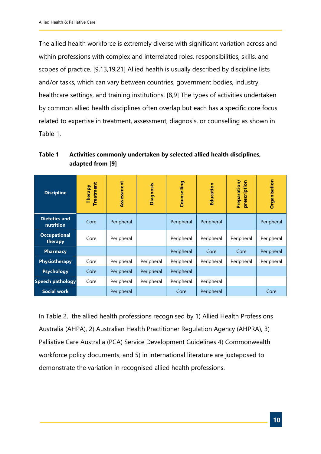The allied health workforce is extremely diverse with significant variation across and within professions with complex and interrelated roles, responsibilities, skills, and scopes of practice. [9,13,19,21] Allied health is usually described by discipline lists and/or tasks, which can vary between countries, government bodies, industry, healthcare settings, and training institutions. [8,9] The types of activities undertaken by common allied health disciplines often overlap but each has a specific core focus related to expertise in treatment, assessment, diagnosis, or counselling as shown in [Table 1.](#page-9-0)

<span id="page-9-0"></span>**Table 1 Activities commonly undertaken by selected allied health disciplines, adapted from [9]**

| <b>Discipline</b>                 | <b>Treatment</b><br>Therapy | Assessment | Diagnosis  | Counselling | Education  | Preparation/<br>prescription | Organisation |
|-----------------------------------|-----------------------------|------------|------------|-------------|------------|------------------------------|--------------|
| <b>Dietetics and</b><br>nutrition | Core                        | Peripheral |            | Peripheral  | Peripheral |                              | Peripheral   |
| <b>Occupational</b><br>therapy    | Core                        | Peripheral |            | Peripheral  | Peripheral | Peripheral                   | Peripheral   |
| <b>Pharmacy</b>                   |                             |            |            | Peripheral  | Core       | Core                         | Peripheral   |
| <b>Physiotherapy</b>              | Core                        | Peripheral | Peripheral | Peripheral  | Peripheral | Peripheral                   | Peripheral   |
| <b>Psychology</b>                 | Core                        | Peripheral | Peripheral | Peripheral  |            |                              |              |
| <b>Speech pathology</b>           | Core                        | Peripheral | Peripheral | Peripheral  | Peripheral |                              |              |
| <b>Social work</b>                |                             | Peripheral |            | Core        | Peripheral |                              | Core         |

In [Table 2,](#page-10-0) the allied health professions recognised by 1) Allied Health Professions Australia (AHPA), 2) Australian Health Practitioner Regulation Agency (AHPRA), 3) Palliative Care Australia (PCA) Service Development Guidelines 4) Commonwealth workforce policy documents, and 5) in international literature are juxtaposed to demonstrate the variation in recognised allied health professions.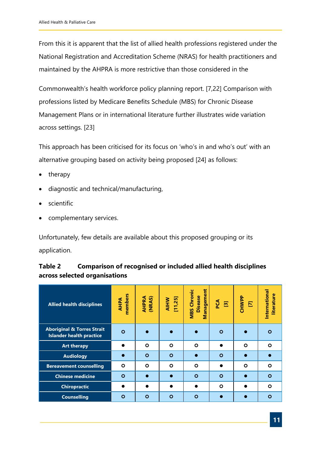From this it is apparent that the list of allied health professions registered under the National Registration and Accreditation Scheme (NRAS) for health practitioners and maintained by the AHPRA is more restrictive than those considered in the

Commonwealth's health workforce policy planning report. [7,22] Comparison with professions listed by Medicare Benefits Schedule (MBS) for Chronic Disease Management Plans or in international literature further illustrates wide variation across settings. [23]

This approach has been criticised for its focus on 'who's in and who's out' with an alternative grouping based on activity being proposed [24] as follows:

- therapy
- diagnostic and technical/manufacturing,
- scientific
- complementary services.

<span id="page-10-0"></span>Unfortunately, few details are available about this proposed grouping or its application.

| Table 2 | <b>Comparison of recognised or included allied health disciplines</b> |
|---------|-----------------------------------------------------------------------|
|         | across selected organisations                                         |

| <b>Allied health disciplines</b>                                         | members<br><b>AHPA</b> | AHPRA<br>(NRAS) | AIHW<br>[11,25] | Management<br>Chronic<br><b>Disease</b><br><b>MBS</b> | <b>PCA</b><br>$\Xi$ | <b>CHWPP</b><br>Ε | International<br>literature |
|--------------------------------------------------------------------------|------------------------|-----------------|-----------------|-------------------------------------------------------|---------------------|-------------------|-----------------------------|
| <b>Aboriginal &amp; Torres Strait</b><br><b>Islander health practice</b> | $\circ$                |                 |                 |                                                       | Ο                   |                   | $\circ$                     |
| <b>Art therapy</b>                                                       |                        | $\circ$         | $\circ$         | $\circ$                                               |                     | $\circ$           | O                           |
| <b>Audiology</b>                                                         |                        | $\circ$         | $\circ$         | $\bullet$                                             | $\circ$             |                   |                             |
| <b>Bereavement counselling</b>                                           | $\circ$                | $\circ$         | $\circ$         | $\circ$                                               |                     | $\circ$           | Ο                           |
| <b>Chinese medicine</b>                                                  | $\circ$                |                 | $\bullet$       | $\circ$                                               | $\circ$             |                   | $\circ$                     |
| <b>Chiropractic</b>                                                      |                        |                 |                 |                                                       | $\circ$             |                   | O                           |
| <b>Counselling</b>                                                       | $\circ$                | $\circ$         | $\circ$         | $\circ$                                               |                     |                   | $\circ$                     |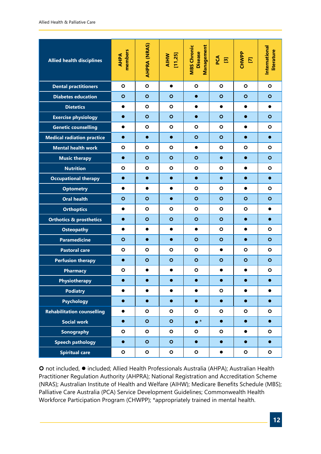| <b>Allied health disciplines</b>   | members<br><b>AHPA</b> | AHPRA (NRAS) | AIHW<br>[11,25] | Management<br><b>MBS Chronic</b><br><b>Disease</b> | PCA<br>$\Xi$ | <b>CHWPP</b><br>$\mathbf E$ | <b>International</b><br>literature |
|------------------------------------|------------------------|--------------|-----------------|----------------------------------------------------|--------------|-----------------------------|------------------------------------|
| <b>Dental practitioners</b>        | $\circ$                | $\circ$      | $\bullet$       | O                                                  | $\circ$      | $\circ$                     | $\circ$                            |
| <b>Diabetes education</b>          | $\circ$                | $\circ$      | $\mathbf{o}$    | $\bullet$                                          | $\circ$      | $\circ$                     | $\circ$                            |
| <b>Dietetics</b>                   | $\bullet$              | O            | $\circ$         | $\bullet$                                          | $\bullet$    | $\bullet$                   | $\bullet$                          |
| <b>Exercise physiology</b>         | $\bullet$              | $\circ$      | $\circ$         | $\bullet$                                          | $\circ$      | $\bullet$                   | $\circ$                            |
| <b>Genetic counselling</b>         | $\bullet$              | $\circ$      | $\circ$         | $\circ$                                            | $\circ$      | $\bullet$                   | $\circ$                            |
| <b>Medical radiation practice</b>  | $\bullet$              | $\bullet$    | $\bullet$       | $\circ$                                            | $\circ$      | $\bullet$                   | $\bullet$                          |
| <b>Mental health work</b>          | $\circ$                | $\circ$      | $\circ$         | $\bullet$                                          | O            | $\circ$                     | $\circ$                            |
| <b>Music therapy</b>               | $\bullet$              | $\circ$      | $\mathbf{o}$    | $\circ$                                            | $\bullet$    | $\bullet$                   | $\circ$                            |
| <b>Nutrition</b>                   | $\circ$                | O            | $\circ$         | $\circ$                                            | O            | $\bullet$                   | O                                  |
| <b>Occupational therapy</b>        | $\bullet$              | $\bullet$    | $\bullet$       | $\bullet$                                          | $\bullet$    | $\bullet$                   | $\bullet$                          |
| <b>Optometry</b>                   | $\bullet$              | $\bullet$    | $\bullet$       | $\circ$                                            | O            | $\bullet$                   | $\circ$                            |
| <b>Oral health</b>                 | $\circ$                | $\circ$      | $\bullet$       | $\circ$                                            | $\circ$      | $\circ$                     | $\circ$                            |
| <b>Orthoptics</b>                  | $\bullet$              | $\circ$      | $\circ$         | O                                                  | O            | $\circ$                     | $\bullet$                          |
| <b>Orthotics &amp; prosthetics</b> | $\bullet$              | $\circ$      | $\circ$         | $\circ$                                            | $\circ$      | $\bullet$                   | $\bullet$                          |
| <b>Osteopathy</b>                  | $\bullet$              | $\bullet$    | $\bullet$       | $\bullet$                                          | $\circ$      | $\bullet$                   | O                                  |
| <b>Paramedicine</b>                | $\circ$                | $\bullet$    | $\bullet$       | $\circ$                                            | $\circ$      | $\bullet$                   | $\circ$                            |
| <b>Pastoral care</b>               | $\circ$                | $\circ$      | $\circ$         | O                                                  | $\bullet$    | $\circ$                     | $\circ$                            |
| <b>Perfusion therapy</b>           | $\bullet$              | $\circ$      | $\circ$         | $\circ$                                            | $\circ$      | $\circ$                     | $\circ$                            |
| <b>Pharmacy</b>                    | $\circ$                | $\bullet$    | $\bullet$       | $\circ$                                            | $\bullet$    | $\bullet$                   | $\bullet$                          |
| <b>Physiotherapy</b>               |                        |              |                 |                                                    |              |                             |                                    |
| <b>Podiatry</b>                    | $\bullet$              | $\bullet$    | $\bullet$       | $\bullet$                                          | $\circ$      | $\bullet$                   | $\bullet$                          |
| <b>Psychology</b>                  | $\bullet$              | $\bullet$    | $\bullet$       | $\bullet$                                          | $\bullet$    | $\bullet$                   | $\bullet$                          |
| <b>Rehabilitation counselling</b>  | $\bullet$              | $\bullet$    | $\mathbf{o}$    | $\bullet$                                          | $\circ$      | $\mathbf{o}$                | $\bullet$                          |
| <b>Social work</b>                 | $\bullet$              | $\circ$      | $\circ$         | $\bullet^*$                                        | $\bullet$    | $\bullet$                   | $\bullet$                          |
| <b>Sonography</b>                  | $\bullet$              | $\bullet$    | $\mathbf{o}$    | $\mathbf{o}$                                       | $\mathbf{o}$ | $\bullet$                   | $\bullet$                          |
| <b>Speech pathology</b>            | $\bullet$              | $\bullet$    | $\circ$         | $\bullet$                                          | $\bullet$    | $\bullet$                   | $\bullet$                          |
| <b>Spiritual care</b>              | $\mathbf{o}$           | $\circ$      | $\mathbf{o}$    | $\mathbf{o}$                                       | $\bullet$    | $\mathbf{o}$                | $\circ$                            |

**O** not included, ● included; Allied Health Professionals Australia (AHPA); Australian Health Practitioner Regulation Authority (AHPRA); National Registration and Accreditation Scheme (NRAS); Australian Institute of Health and Welfare (AIHW); Medicare Benefits Schedule (MBS); Palliative Care Australia (PCA) Service Development Guidelines; Commonwealth Health Workforce Participation Program (CHWPP); \*appropriately trained in mental health.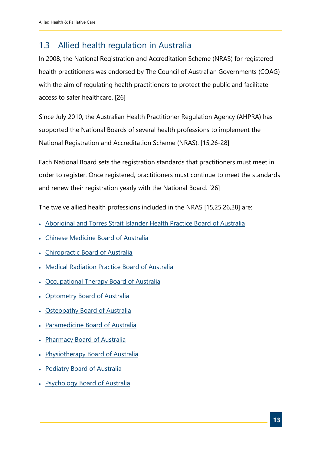## <span id="page-12-0"></span>1.3 Allied health regulation in Australia

In 2008, the National Registration and Accreditation Scheme (NRAS) for registered health practitioners was endorsed by The Council of Australian Governments (COAG) with the aim of regulating health practitioners to protect the public and facilitate access to safer healthcare. [26]

Since July 2010, the Australian Health Practitioner Regulation Agency (AHPRA) has supported the National Boards of several health professions to implement the National Registration and Accreditation Scheme (NRAS). [15,26-28]

Each National Board sets the registration standards that practitioners must meet in order to register. Once registered, practitioners must continue to meet the standards and renew their registration yearly with the National Board. [26]

The twelve allied health professions included in the NRAS [15,25,26,28] are:

- [Aboriginal and Torres Strait Islander Health Practice Board of Australia](http://www.atsihealthpracticeboard.gov.au/)
- [Chinese Medicine Board of Australia](http://www.chinesemedicineboard.gov.au/)
- [Chiropractic Board of Australia](http://www.chiropracticboard.gov.au/)
- [Medical Radiation Practice Board of Australia](http://www.medicalradiationpracticeboard.gov.au/)
- [Occupational Therapy Board of Australia](http://www.occupationaltherapyboard.gov.au/)
- [Optometry Board of Australia](http://www.optometryboard.gov.au/)
- [Osteopathy Board of Australia](http://www.osteopathyboard.gov.au/)
- [Paramedicine Board of Australia](http://www.paramedicineboard.gov.au/)
- [Pharmacy Board of Australia](http://www.pharmacyboard.gov.au/)
- [Physiotherapy Board of Australia](http://www.physiotherapyboard.gov.au/)
- [Podiatry Board of Australia](http://www.podiatryboard.gov.au/)
- [Psychology Board of Australia](http://www.psychologyboard.gov.au/)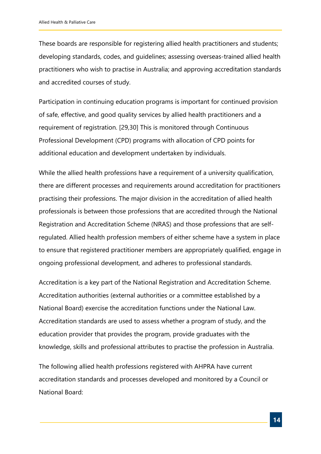These boards are responsible for registering allied health practitioners and students; developing standards, codes, and guidelines; assessing overseas-trained allied health practitioners who wish to practise in Australia; and approving accreditation standards and accredited courses of study.

Participation in continuing education programs is important for continued provision of safe, effective, and good quality services by allied health practitioners and a requirement of registration. [29,30] This is monitored through Continuous Professional Development (CPD) programs with allocation of CPD points for additional education and development undertaken by individuals.

While the allied health professions have a requirement of a university qualification, there are different processes and requirements around accreditation for practitioners practising their professions. The major division in the accreditation of allied health professionals is between those professions that are accredited through the National Registration and Accreditation Scheme (NRAS) and those professions that are selfregulated. Allied health profession members of either scheme have a system in place to ensure that registered practitioner members are appropriately qualified, engage in ongoing professional development, and adheres to professional standards.

Accreditation is a key part of the National Registration and Accreditation Scheme. Accreditation authorities (external authorities or a committee established by a National Board) exercise the accreditation functions under the National Law. Accreditation standards are used to assess whether a program of study, and the education provider that provides the program, provide graduates with the knowledge, skills and professional attributes to practise the profession in Australia.

The following allied health professions registered with AHPRA have current accreditation standards and processes developed and monitored by a Council or National Board: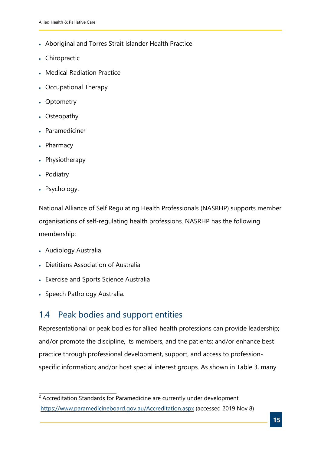- Aboriginal and Torres Strait Islander Health Practice
- Chiropractic
- Medical Radiation Practice
- Occupational Therapy
- Optometry
- Osteopathy
- $\bullet$  Paramedicine<sup>[2](#page-14-1)</sup>
- Pharmacy
- Physiotherapy
- Podiatry
- Psychology.

National Alliance of Self Regulating Health Professionals (NASRHP) supports member organisations of self-regulating health professions. NASRHP has the following membership:

- Audiology Australia
- Dietitians Association of Australia
- Exercise and Sports Science Australia
- Speech Pathology Australia.

### <span id="page-14-0"></span>1.4 Peak bodies and support entities

Representational or peak bodies for allied health professions can provide leadership; and/or promote the discipline, its members, and the patients; and/or enhance best practice through professional development, support, and access to professionspecific information; and/or host special interest groups. As shown in [Table 3,](#page-15-0) many

<span id="page-14-1"></span><sup>&</sup>lt;sup>2</sup> Accreditation Standards for Paramedicine are currently under development (<https://www.paramedicineboard.gov.au/Accreditation.aspx> (accessed 2019 Nov 8)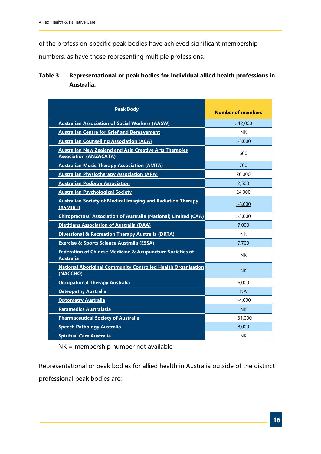of the profession-specific peak bodies have achieved significant membership

numbers, as have those representing multiple professions.

#### <span id="page-15-0"></span>**Table 3 Representational or peak bodies for individual allied health professions in Australia.**

| <b>Peak Body</b>                                                                                | <b>Number of members</b> |
|-------------------------------------------------------------------------------------------------|--------------------------|
| <b>Australian Association of Social Workers (AASW)</b>                                          | >12,000                  |
| <b>Australian Centre for Grief and Bereavement</b>                                              | <b>NK</b>                |
| <b>Australian Counselling Association (ACA)</b>                                                 | >5.000                   |
| <b>Australian New Zealand and Asia Creative Arts Therapies</b><br><b>Association (ANZACATA)</b> | 600                      |
| <b>Australian Music Therapy Association (AMTA)</b>                                              | 700                      |
| <b>Australian Physiotherapy Association (APA)</b>                                               | 26,000                   |
| <b>Australian Podiatry Association</b>                                                          | 2,500                    |
| <b>Australian Psychological Society</b>                                                         | 24,000                   |
| <b>Australian Society of Medical Imaging and Radiation Therapy</b><br>(ASMIRT)                  | >8.000                   |
| <b>Chiropractors' Association of Australia (National) Limited (CAA)</b>                         | >3,000                   |
| <b>Dietitians Association of Australia (DAA)</b>                                                | 7.000                    |
| Diversional & Recreation Therapy Australia (DRTA)                                               | <b>NK</b>                |
| <b>Exercise &amp; Sports Science Australia (ESSA)</b>                                           | 7,700                    |
| <b>Federation of Chinese Medicine &amp; Acupuncture Societies of</b><br><b>Australia</b>        | <b>NK</b>                |
| <b>National Aboriginal Community Controlled Health Organisation</b><br>(NACCHO)                 | <b>NK</b>                |
| <b>Occupational Therapy Australia</b>                                                           | 6.000                    |
| <b>Osteopathy Australia</b>                                                                     | <b>NA</b>                |
| <b>Optometry Australia</b>                                                                      | >4.000                   |
| <b>Paramedics Australasia</b>                                                                   | <b>NK</b>                |
| <b>Pharmaceutical Society of Australia</b>                                                      | 31,000                   |
| <b>Speech Pathology Australia</b>                                                               | 8,000                    |
| <b>Spiritual Care Australia</b>                                                                 | NΚ                       |

NK = membership number not available

Representational or peak bodies for allied health in Australia outside of the distinct professional peak bodies are: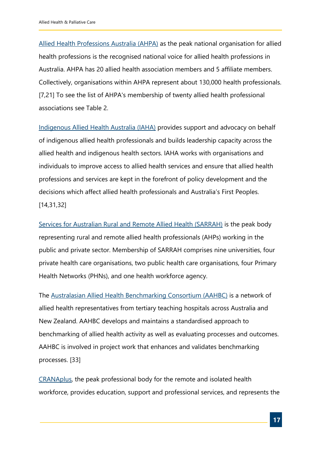[Allied Health Professions Australia \(AHPA\)](https://ahpa.com.au/about-ahpa/) as the peak national organisation for allied health professions is the recognised national voice for allied health professions in Australia. AHPA has 20 allied health association members and 5 affiliate members. Collectively, organisations within AHPA represent about 130,000 health professionals. [7,21] To see the list of AHPA's membership of twenty allied health professional associations see [Table 2.](#page-10-0)

[Indigenous Allied Health Australia \(IAHA\)](http://iaha.com.au/allied-health-careers/allied-health-professional-associations/) provides support and advocacy on behalf of indigenous allied health professionals and builds leadership capacity across the allied health and indigenous health sectors. IAHA works with organisations and individuals to improve access to allied health services and ensure that allied health professions and services are kept in the forefront of policy development and the decisions which affect allied health professionals and Australia's First Peoples. [14,31,32]

[Services for Australian Rural and Remote Allied Health \(SARRAH\)](https://www.sarrah.org.au/content/mission-vision-values) is the peak body representing rural and remote allied health professionals (AHPs) working in the public and private sector. Membership of SARRAH comprises nine universities, four private health care organisations, two public health care organisations, four Primary Health Networks (PHNs), and one health workforce agency.

The [Australasian Allied Health Benchmarking Consortium \(AAHBC\)](http://www.aahbc.org/) is a network of allied health representatives from tertiary teaching hospitals across Australia and New Zealand. AAHBC develops and maintains a standardised approach to benchmarking of allied health activity as well as evaluating processes and outcomes. AAHBC is involved in project work that enhances and validates benchmarking processes. [33]

[CRANAplus,](https://crana.org.au/) the peak professional body for the remote and isolated health workforce, provides education, support and professional services, and represents the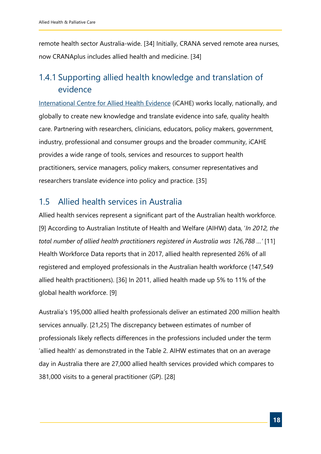remote health sector Australia-wide. [34] Initially, CRANA served remote area nurses, now CRANAplus includes allied health and medicine. [34]

## <span id="page-17-0"></span>1.4.1 Supporting allied health knowledge and translation of evidence

[International Centre for Allied Health Evidence](http://www.unisa.edu.au/Research/Sansom-Institute-for-Health-Research/Research/Allied-Health-Evidence/) (iCAHE) works locally, nationally, and globally to create new knowledge and translate evidence into safe, quality health care. Partnering with researchers, clinicians, educators, policy makers, government, industry, professional and consumer groups and the broader community, iCAHE provides a wide range of tools, services and resources to support health practitioners, service managers, policy makers, consumer representatives and researchers translate evidence into policy and practice. [35]

## <span id="page-17-1"></span>1.5 Allied health services in Australia

Allied health services represent a significant part of the Australian health workforce. [9] According to Australian Institute of Health and Welfare (AIHW) data, '*In 2012, the total number of allied health practitioners registered in Australia was 126,788 …'* [11] Health Workforce Data reports that in 2017, allied health represented 26% of all registered and employed professionals in the Australian health workforce (147,549 allied health practitioners). [36] In 2011, allied health made up 5% to 11% of the global health workforce. [9]

Australia's 195,000 allied health professionals deliver an estimated 200 million health services annually. [21,25] The discrepancy between estimates of number of professionals likely reflects differences in the professions included under the term 'allied health' as demonstrated in the Table 2. AIHW estimates that on an average day in Australia there are 27,000 allied health services provided which compares to 381,000 visits to a general practitioner (GP). [28]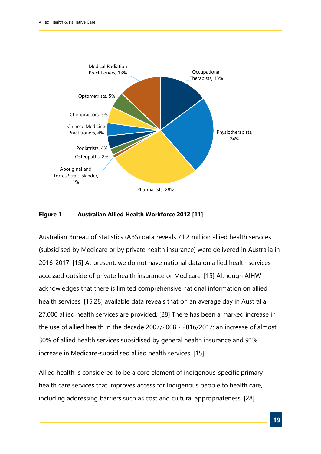

#### **Figure 1 Australian Allied Health Workforce 2012 [11]**

Australian Bureau of Statistics (ABS) data reveals 71.2 million allied health services (subsidised by Medicare or by private health insurance) were delivered in Australia in 2016-2017. [15] At present, we do not have national data on allied health services accessed outside of private health insurance or Medicare. [15] Although AIHW acknowledges that there is limited comprehensive national information on allied health services, [15,28] available data reveals that on an average day in Australia 27,000 allied health services are provided. [28] There has been a marked increase in the use of allied health in the decade 2007/2008 - 2016/2017: an increase of almost 30% of allied health services subsidised by general health insurance and 91% increase in Medicare-subsidised allied health services. [15]

Allied health is considered to be a core element of indigenous-specific primary health care services that improves access for Indigenous people to health care, including addressing barriers such as cost and cultural appropriateness. [28]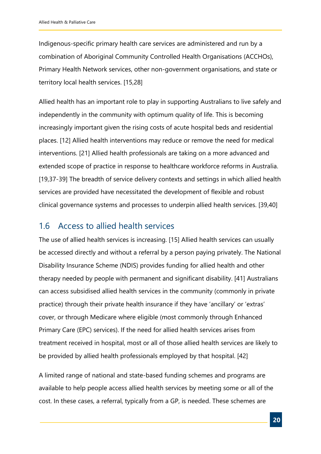Indigenous-specific primary health care services are administered and run by a combination of Aboriginal Community Controlled Health Organisations (ACCHOs), Primary Health Network services, other non-government organisations, and state or territory local health services. [15,28]

Allied health has an important role to play in supporting Australians to live safely and independently in the community with optimum quality of life. This is becoming increasingly important given the rising costs of acute hospital beds and residential places. [12] Allied health interventions may reduce or remove the need for medical interventions. [21] Allied health professionals are taking on a more advanced and extended scope of practice in response to healthcare workforce reforms in Australia. [19,37-39] The breadth of service delivery contexts and settings in which allied health services are provided have necessitated the development of flexible and robust clinical governance systems and processes to underpin allied health services. [39,40]

#### <span id="page-19-0"></span>1.6 Access to allied health services

The use of allied health services is increasing. [15] Allied health services can usually be accessed directly and without a referral by a person paying privately. The National Disability Insurance Scheme (NDIS) provides funding for allied health and other therapy needed by people with permanent and significant disability. [41] Australians can access subsidised allied health services in the community (commonly in private practice) through their private health insurance if they have 'ancillary' or 'extras' cover, or through Medicare where eligible (most commonly through Enhanced Primary Care (EPC) services). If the need for allied health services arises from treatment received in hospital, most or all of those allied health services are likely to be provided by allied health professionals employed by that hospital. [42]

A limited range of national and state-based funding schemes and programs are available to help people access allied health services by meeting some or all of the cost. In these cases, a referral, typically from a GP, is needed. These schemes are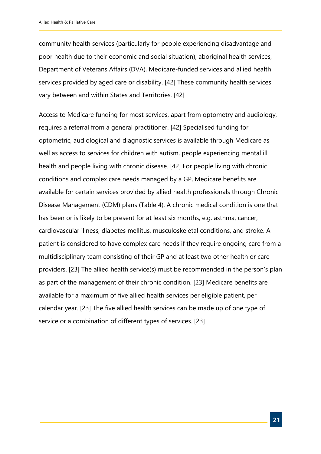community health services (particularly for people experiencing disadvantage and poor health due to their economic and social situation), aboriginal health services, Department of Veterans Affairs (DVA), Medicare-funded services and allied health services provided by aged care or disability. [42] These community health services vary between and within States and Territories. [42]

Access to Medicare funding for most services, apart from optometry and audiology, requires a referral from a general practitioner. [42] Specialised funding for optometric, audiological and diagnostic services is available through Medicare as well as access to services for children with autism, people experiencing mental ill health and people living with chronic disease. [42] For people living with chronic conditions and complex care needs managed by a GP, Medicare benefits are available for certain services provided by allied health professionals through Chronic Disease Management (CDM) plans [\(Table 4\).](#page-21-1) A chronic medical condition is one that has been or is likely to be present for at least six months, e.g. asthma, cancer, cardiovascular illness, diabetes mellitus, musculoskeletal conditions, and stroke. A patient is considered to have complex care needs if they require ongoing care from a multidisciplinary team consisting of their GP and at least two other health or care providers. [23] The allied health service(s) must be recommended in the person's plan as part of the management of their chronic condition. [23] Medicare benefits are available for a maximum of five allied health services per eligible patient, per calendar year. [23] The five allied health services can be made up of one type of service or a combination of different types of services. [23]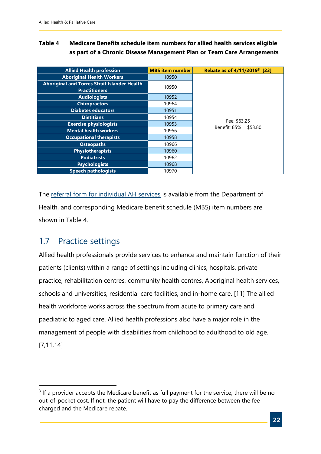#### <span id="page-21-1"></span>**Table 4 Medicare Benefits schedule item numbers for allied health services eligible as part of a Chronic Disease Management Plan or Team Care Arrangements**

| <b>Allied Health profession</b>                     | <b>MBS</b> item number | Rebate as of 4/11/2019 <sup>3</sup> [23] |
|-----------------------------------------------------|------------------------|------------------------------------------|
| <b>Aboriginal Health Workers</b>                    | 10950                  |                                          |
| <b>Aboriginal and Torres Strait Islander Health</b> | 10950                  |                                          |
| <b>Practitioners</b>                                |                        |                                          |
| <b>Audiologists</b>                                 | 10952                  |                                          |
| <b>Chiropractors</b>                                | 10964                  |                                          |
| <b>Diabetes educators</b>                           | 10951                  |                                          |
| <b>Dietitians</b>                                   | 10954                  |                                          |
| <b>Exercise physiologists</b>                       | 10953                  | Fee: \$63.25<br>Benefit: $85\% = $53.80$ |
| <b>Mental health workers</b>                        | 10956                  |                                          |
| <b>Occupational therapists</b>                      | 10958                  |                                          |
| <b>Osteopaths</b>                                   | 10966                  |                                          |
| <b>Physiotherapists</b>                             | 10960                  |                                          |
| <b>Podiatrists</b>                                  | 10962                  |                                          |
| <b>Psychologists</b>                                | 10968                  |                                          |
| <b>Speech pathologists</b>                          | 10970                  |                                          |

The [referral form for individual AH services](https://www1.health.gov.au/internet/main/publishing.nsf/Content/DFEEB1B5AAEA0158CA257BF0001CAD67/$File/Referral-Form-for-Allied-Health-Services-under-Medicare(2).pdf) is available from the Department of Health, and corresponding Medicare benefit schedule (MBS) item numbers are shown in Table 4.

### <span id="page-21-0"></span>1.7 Practice settings

Allied health professionals provide services to enhance and maintain function of their patients (clients) within a range of settings including clinics, hospitals, private practice, rehabilitation centres, community health centres, Aboriginal health services, schools and universities, residential care facilities, and in-home care. [11] The allied health workforce works across the spectrum from acute to primary care and paediatric to aged care. Allied health professions also have a major role in the management of people with disabilities from childhood to adulthood to old age. [7,11,14]

<span id="page-21-2"></span> $3$  If a provider accepts the Medicare benefit as full payment for the service, there will be no out-of-pocket cost. If not, the patient will have to pay the difference between the fee charged and the Medicare rebate.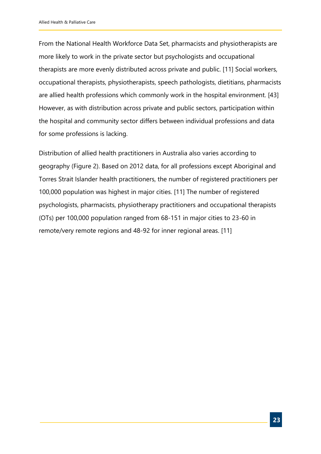From the National Health Workforce Data Set, pharmacists and physiotherapists are more likely to work in the private sector but psychologists and occupational therapists are more evenly distributed across private and public. [11] Social workers, occupational therapists, physiotherapists, speech pathologists, dietitians, pharmacists are allied health professions which commonly work in the hospital environment. [43] However, as with distribution across private and public sectors, participation within the hospital and community sector differs between individual professions and data for some professions is lacking.

Distribution of allied health practitioners in Australia also varies according to geography (Figure 2). Based on 2012 data, for all professions except Aboriginal and Torres Strait Islander health practitioners, the number of registered practitioners per 100,000 population was highest in major cities. [11] The number of registered psychologists, pharmacists, physiotherapy practitioners and occupational therapists (OTs) per 100,000 population ranged from 68-151 in major cities to 23-60 in remote/very remote regions and 48-92 for inner regional areas. [11]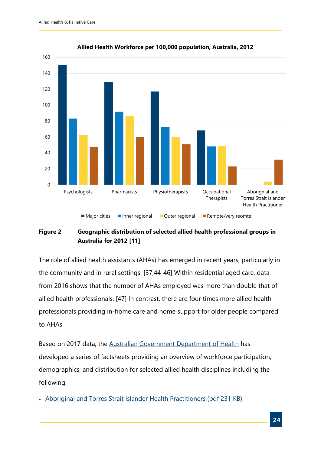

#### **Allied Health Workforce per 100,000 population, Australia, 2012**

#### **Figure 2 Geographic distribution of selected allied health professional groups in Australia for 2012 [11]**

The role of allied health assistants (AHAs) has emerged in recent years, particularly in the community and in rural settings. [37,44-46] Within residential aged care, data from 2016 shows that the number of AHAs employed was more than double that of allied health professionals. [47] In contrast, there are four times more allied health professionals providing in-home care and home support for older people compared to AHAs

Based on 2017 data, the [Australian Government Department of Health](https://hwd.health.gov.au/publications.html#alliedh17) has developed a series of factsheets providing an overview of workforce participation, demographics, and distribution for selected allied health disciplines including the following:

• [Aboriginal and Torres Strait Islander Health Practitioners \(pdf 231 KB\)](https://hwd.health.gov.au/webapi/customer/documents/factsheets/2017/Aboriginal%20and%20Torres%20Strait%20Islander%20Health%20Practitioners.pdf)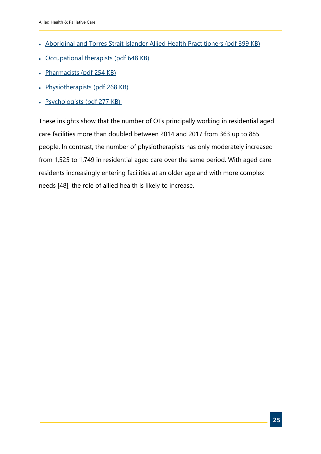- [Aboriginal and Torres Strait Islander Allied Health Practitioners \(pdf 399 KB\)](https://hwd.health.gov.au/webapi/customer/documents/factsheets/2017/Aboriginal%20and%20Torres%20Strait%20Islander%20Allied%20Health%20Practitioners.pdf)
- [Occupational therapists \(pdf 648 KB\)](https://hwd.health.gov.au/webapi/customer/documents/factsheets/2017/Occupational%20therapists.pdf)
- [Pharmacists \(pdf 254 KB\)](https://hwd.health.gov.au/webapi/customer/documents/factsheets/2017/Pharmacists.pdf)
- [Physiotherapists \(pdf 268 KB\)](https://hwd.health.gov.au/webapi/customer/documents/factsheets/2017/Physiotherapists.pdf)
- [Psychologists \(pdf 277 KB\)](https://hwd.health.gov.au/webapi/customer/documents/factsheets/2017/Psychologists.pdf)

These insights show that the number of OTs principally working in residential aged care facilities more than doubled between 2014 and 2017 from 363 up to 885 people. In contrast, the number of physiotherapists has only moderately increased from 1,525 to 1,749 in residential aged care over the same period. With aged care residents increasingly entering facilities at an older age and with more complex needs [48], the role of allied health is likely to increase.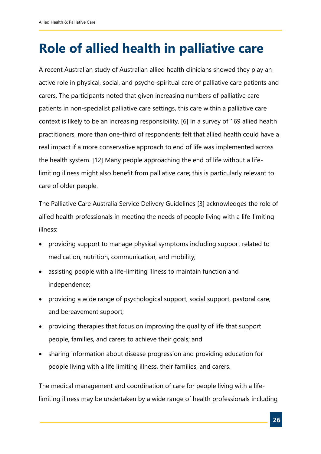## <span id="page-25-0"></span>**Role of allied health in palliative care**

A recent Australian study of Australian allied health clinicians showed they play an active role in physical, social, and psycho-spiritual care of palliative care patients and carers. The participants noted that given increasing numbers of palliative care patients in non-specialist palliative care settings, this care within a palliative care context is likely to be an increasing responsibility. [6] In a survey of 169 allied health practitioners, more than one-third of respondents felt that allied health could have a real impact if a more conservative approach to end of life was implemented across the health system. [12] Many people approaching the end of life without a lifelimiting illness might also benefit from palliative care; this is particularly relevant to care of older people.

The Palliative Care Australia Service Delivery Guidelines [3] acknowledges the role of allied health professionals in meeting the needs of people living with a life-limiting illness:

- providing support to manage physical symptoms including support related to medication, nutrition, communication, and mobility;
- assisting people with a life-limiting illness to maintain function and independence;
- providing a wide range of psychological support, social support, pastoral care, and bereavement support;
- providing therapies that focus on improving the quality of life that support people, families, and carers to achieve their goals; and
- sharing information about disease progression and providing education for people living with a life limiting illness, their families, and carers.

The medical management and coordination of care for people living with a lifelimiting illness may be undertaken by a wide range of health professionals including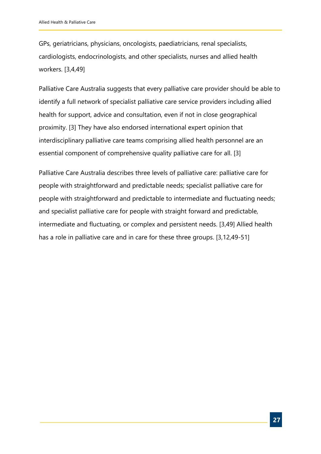GPs, geriatricians, physicians, oncologists, paediatricians, renal specialists, cardiologists, endocrinologists, and other specialists, nurses and allied health workers. [3,4,49]

Palliative Care Australia suggests that every palliative care provider should be able to identify a full network of specialist palliative care service providers including allied health for support, advice and consultation, even if not in close geographical proximity. [3] They have also endorsed international expert opinion that interdisciplinary palliative care teams comprising allied health personnel are an essential component of comprehensive quality palliative care for all. [3]

Palliative Care Australia describes three levels of palliative care: palliative care for people with straightforward and predictable needs; specialist palliative care for people with straightforward and predictable to intermediate and fluctuating needs; and specialist palliative care for people with straight forward and predictable, intermediate and fluctuating, or complex and persistent needs. [3,49] Allied health has a role in palliative care and in care for these three groups. [3,12,49-51]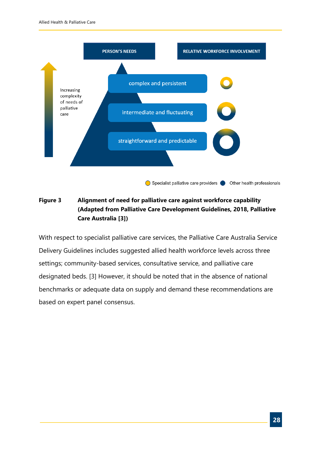

#### **Figure 3 Alignment of need for palliative care against workforce capability (Adapted from Palliative Care Development Guidelines, 2018, Palliative Care Australia [3])**

With respect to specialist palliative care services, the Palliative Care Australia Service Delivery Guidelines includes suggested allied health workforce levels across three settings; community-based services, consultative service, and palliative care designated beds. [3] However, it should be noted that in the absence of national benchmarks or adequate data on supply and demand these recommendations are based on expert panel consensus.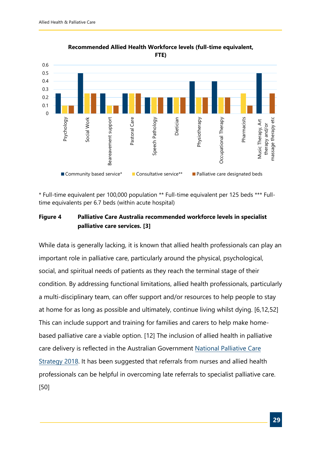

**Recommended Allied Health Workforce levels (full-time equivalent, FTE)**

\* Full-time equivalent per 100,000 population \*\* Full-time equivalent per 125 beds \*\*\* Fulltime equivalents per 6.7 beds (within acute hospital)

#### **Figure 4 Palliative Care Australia recommended workforce levels in specialist palliative care services. [3]**

While data is generally lacking, it is known that allied health professionals can play an important role in palliative care, particularly around the physical, psychological, social, and spiritual needs of patients as they reach the terminal stage of their condition. By addressing functional limitations, allied health professionals, particularly a multi-disciplinary team, can offer support and/or resources to help people to stay at home for as long as possible and ultimately, continue living whilst dying. [6,12,52] This can include support and training for families and carers to help make homebased palliative care a viable option. [12] The inclusion of allied health in palliative care delivery is reflected in the Australian [Government](https://www.health.gov.au/resources/publications/the-national-palliative-care-strategy-2018) National Palliative Care Strategy 2018. It has been suggested that referrals from nurses and allied health professionals can be helpful in overcoming late referrals to specialist palliative care. [50]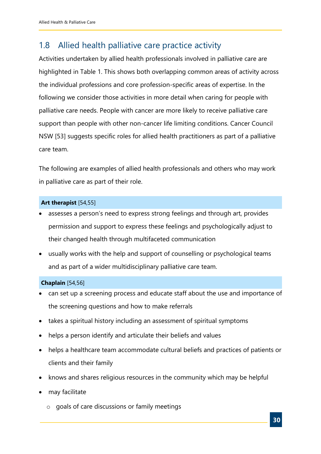## <span id="page-29-0"></span>1.8 Allied health palliative care practice activity

Activities undertaken by allied health professionals involved in palliative care are highlighted in [Table 1.](#page-9-0) This shows both overlapping common areas of activity across the individual professions and core profession-specific areas of expertise. In the following we consider those activities in more detail when caring for people with palliative care needs. People with cancer are more likely to receive palliative care support than people with other non-cancer life limiting conditions. Cancer Council NSW [53] suggests specific roles for allied health practitioners as part of a palliative care team.

The following are examples of allied health professionals and others who may work in palliative care as part of their role.

#### **Art therapist** [54,55]

- assesses a person's need to express strong feelings and through art, provides permission and support to express these feelings and psychologically adjust to their changed health through multifaceted communication
- usually works with the help and support of counselling or psychological teams and as part of a wider multidisciplinary palliative care team.

#### **Chaplain** [54,56]

- can set up a screening process and educate staff about the use and importance of the screening questions and how to make referrals
- takes a spiritual history including an assessment of spiritual symptoms
- helps a person identify and articulate their beliefs and values
- helps a healthcare team accommodate cultural beliefs and practices of patients or clients and their family
- knows and shares religious resources in the community which may be helpful
- may facilitate
	- o goals of care discussions or family meetings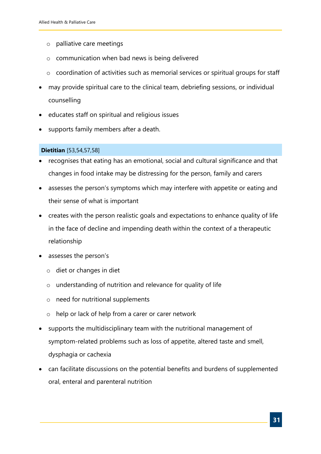- o palliative care meetings
- o communication when bad news is being delivered
- o coordination of activities such as memorial services or spiritual groups for staff
- may provide spiritual care to the clinical team, debriefing sessions, or individual counselling
- educates staff on spiritual and religious issues
- supports family members after a death.

#### **Dietitian** [53,54,57,58]

- recognises that eating has an emotional, social and cultural significance and that changes in food intake may be distressing for the person, family and carers
- assesses the person's symptoms which may interfere with appetite or eating and their sense of what is important
- creates with the person realistic goals and expectations to enhance quality of life in the face of decline and impending death within the context of a therapeutic relationship
- assesses the person's
	- o diet or changes in diet
	- o understanding of nutrition and relevance for quality of life
	- o need for nutritional supplements
	- o help or lack of help from a carer or carer network
- supports the multidisciplinary team with the nutritional management of symptom-related problems such as loss of appetite, altered taste and smell, dysphagia or cachexia
- can facilitate discussions on the potential benefits and burdens of supplemented oral, enteral and parenteral nutrition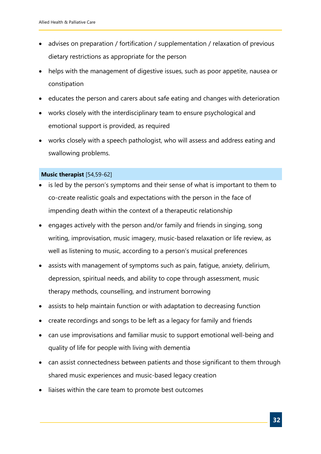- advises on preparation / fortification / supplementation / relaxation of previous dietary restrictions as appropriate for the person
- helps with the management of digestive issues, such as poor appetite, nausea or constipation
- educates the person and carers about safe eating and changes with deterioration
- works closely with the interdisciplinary team to ensure psychological and emotional support is provided, as required
- works closely with a speech pathologist, who will assess and address eating and swallowing problems.

#### **Music therapist** [54,59-62]

- is led by the person's symptoms and their sense of what is important to them to co-create realistic goals and expectations with the person in the face of impending death within the context of a therapeutic relationship
- engages actively with the person and/or family and friends in singing, song writing, improvisation, music imagery, music-based relaxation or life review, as well as listening to music, according to a person's musical preferences
- assists with management of symptoms such as pain, fatigue, anxiety, delirium, depression, spiritual needs, and ability to cope through assessment, music therapy methods, counselling, and instrument borrowing
- assists to help maintain function or with adaptation to decreasing function
- create recordings and songs to be left as a legacy for family and friends
- can use improvisations and familiar music to support emotional well-being and quality of life for people with living with dementia
- can assist connectedness between patients and those significant to them through shared music experiences and music-based legacy creation
- liaises within the care team to promote best outcomes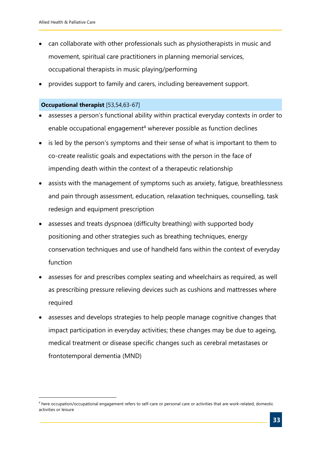- can collaborate with other professionals such as physiotherapists in music and movement, spiritual care practitioners in planning memorial services, occupational therapists in music playing/performing
- provides support to family and carers, including bereavement support.

#### **Occupational therapist** [53,54,63-67]

- assesses a person's functional ability within practical everyday contexts in order to enable occupational engagement<sup>[4](#page-32-0)</sup> wherever possible as function declines
- is led by the person's symptoms and their sense of what is important to them to co-create realistic goals and expectations with the person in the face of impending death within the context of a therapeutic relationship
- assists with the management of symptoms such as anxiety, fatigue, breathlessness and pain through assessment, education, relaxation techniques, counselling, task redesign and equipment prescription
- assesses and treats dyspnoea (difficulty breathing) with supported body positioning and other strategies such as breathing techniques, energy conservation techniques and use of handheld fans within the context of everyday function
- assesses for and prescribes complex seating and wheelchairs as required, as well as prescribing pressure relieving devices such as cushions and mattresses where required
- assesses and develops strategies to help people manage cognitive changes that impact participation in everyday activities; these changes may be due to ageing, medical treatment or disease specific changes such as cerebral metastases or frontotemporal dementia (MND)

<span id="page-32-0"></span><sup>4</sup> here occupation/occupational engagement refers to self-care or personal care or activities that are work-related, domestic activities or leisure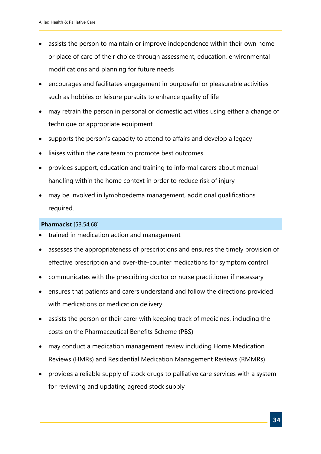- assists the person to maintain or improve independence within their own home or place of care of their choice through assessment, education, environmental modifications and planning for future needs
- encourages and facilitates engagement in purposeful or pleasurable activities such as hobbies or leisure pursuits to enhance quality of life
- may retrain the person in personal or domestic activities using either a change of technique or appropriate equipment
- supports the person's capacity to attend to affairs and develop a legacy
- liaises within the care team to promote best outcomes
- provides support, education and training to informal carers about manual handling within the home context in order to reduce risk of injury
- may be involved in lymphoedema management, additional qualifications required.

#### **Pharmacist** [53,54,68]

- trained in medication action and management
- assesses the appropriateness of prescriptions and ensures the timely provision of effective prescription and over-the-counter medications for symptom control
- communicates with the prescribing doctor or nurse practitioner if necessary
- ensures that patients and carers understand and follow the directions provided with medications or medication delivery
- assists the person or their carer with keeping track of medicines, including the costs on the Pharmaceutical Benefits Scheme (PBS)
- may conduct a medication management review including Home Medication Reviews (HMRs) and Residential Medication Management Reviews (RMMRs)
- provides a reliable supply of stock drugs to palliative care services with a system for reviewing and updating agreed stock supply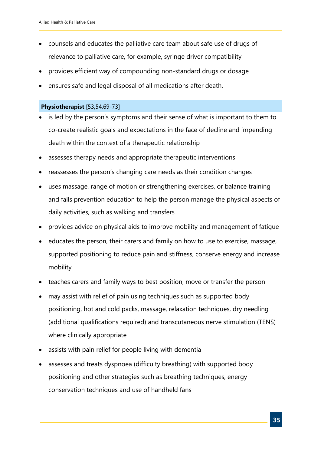- counsels and educates the palliative care team about safe use of drugs of relevance to palliative care, for example, syringe driver compatibility
- provides efficient way of compounding non-standard drugs or dosage
- ensures safe and legal disposal of all medications after death.

#### **Physiotherapist** [53,54,69-73]

- is led by the person's symptoms and their sense of what is important to them to co-create realistic goals and expectations in the face of decline and impending death within the context of a therapeutic relationship
- assesses therapy needs and appropriate therapeutic interventions
- reassesses the person's changing care needs as their condition changes
- uses massage, range of motion or strengthening exercises, or balance training and falls prevention education to help the person manage the physical aspects of daily activities, such as walking and transfers
- provides advice on physical aids to improve mobility and management of fatigue
- educates the person, their carers and family on how to use to exercise, massage, supported positioning to reduce pain and stiffness, conserve energy and increase mobility
- teaches carers and family ways to best position, move or transfer the person
- may assist with relief of pain using techniques such as supported body positioning, hot and cold packs, massage, relaxation techniques, dry needling (additional qualifications required) and transcutaneous nerve stimulation (TENS) where clinically appropriate
- assists with pain relief for people living with dementia
- assesses and treats dyspnoea (difficulty breathing) with supported body positioning and other strategies such as breathing techniques, energy conservation techniques and use of handheld fans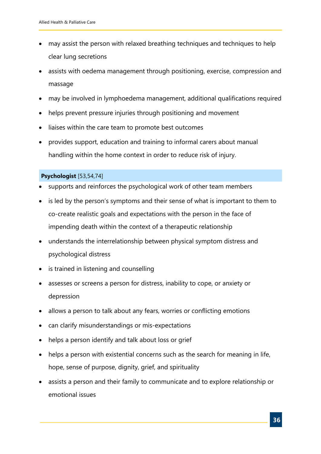- may assist the person with relaxed breathing techniques and techniques to help clear lung secretions
- assists with oedema management through positioning, exercise, compression and massage
- may be involved in lymphoedema management, additional qualifications required
- helps prevent pressure injuries through positioning and movement
- liaises within the care team to promote best outcomes
- provides support, education and training to informal carers about manual handling within the home context in order to reduce risk of injury.

#### **Psychologist** [53,54,74]

- supports and reinforces the psychological work of other team members
- is led by the person's symptoms and their sense of what is important to them to co-create realistic goals and expectations with the person in the face of impending death within the context of a therapeutic relationship
- understands the interrelationship between physical symptom distress and psychological distress
- is trained in listening and counselling
- assesses or screens a person for distress, inability to cope, or anxiety or depression
- allows a person to talk about any fears, worries or conflicting emotions
- can clarify misunderstandings or mis-expectations
- helps a person identify and talk about loss or grief
- helps a person with existential concerns such as the search for meaning in life, hope, sense of purpose, dignity, grief, and spirituality
- assists a person and their family to communicate and to explore relationship or emotional issues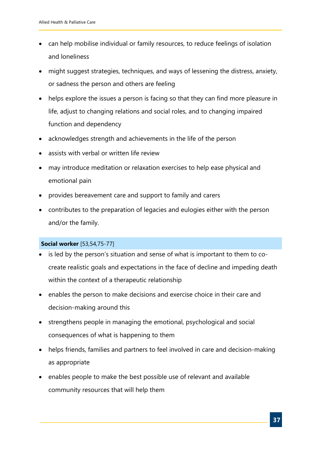- can help mobilise individual or family resources, to reduce feelings of isolation and loneliness
- might suggest strategies, techniques, and ways of lessening the distress, anxiety, or sadness the person and others are feeling
- helps explore the issues a person is facing so that they can find more pleasure in life, adjust to changing relations and social roles, and to changing impaired function and dependency
- acknowledges strength and achievements in the life of the person
- assists with verbal or written life review
- may introduce meditation or relaxation exercises to help ease physical and emotional pain
- provides bereavement care and support to family and carers
- contributes to the preparation of legacies and eulogies either with the person and/or the family.

#### **Social worker** [53,54,75-77]

- is led by the person's situation and sense of what is important to them to cocreate realistic goals and expectations in the face of decline and impeding death within the context of a therapeutic relationship
- enables the person to make decisions and exercise choice in their care and decision-making around this
- strengthens people in managing the emotional, psychological and social consequences of what is happening to them
- helps friends, families and partners to feel involved in care and decision-making as appropriate
- enables people to make the best possible use of relevant and available community resources that will help them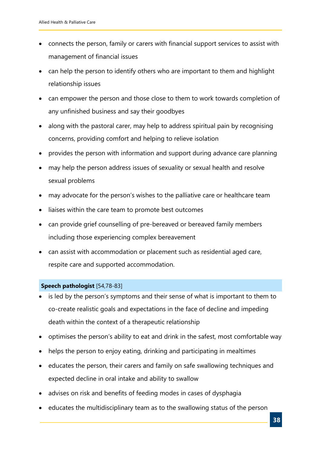- connects the person, family or carers with financial support services to assist with management of financial issues
- can help the person to identify others who are important to them and highlight relationship issues
- can empower the person and those close to them to work towards completion of any unfinished business and say their goodbyes
- along with the pastoral carer, may help to address spiritual pain by recognising concerns, providing comfort and helping to relieve isolation
- provides the person with information and support during advance care planning
- may help the person address issues of sexuality or sexual health and resolve sexual problems
- may advocate for the person's wishes to the palliative care or healthcare team
- liaises within the care team to promote best outcomes
- can provide grief counselling of pre-bereaved or bereaved family members including those experiencing complex bereavement
- can assist with accommodation or placement such as residential aged care, respite care and supported accommodation.

#### **Speech pathologist** [54,78-83]

- is led by the person's symptoms and their sense of what is important to them to co-create realistic goals and expectations in the face of decline and impeding death within the context of a therapeutic relationship
- optimises the person's ability to eat and drink in the safest, most comfortable way
- helps the person to enjoy eating, drinking and participating in mealtimes
- educates the person, their carers and family on safe swallowing techniques and expected decline in oral intake and ability to swallow
- advises on risk and benefits of feeding modes in cases of dysphagia
- educates the multidisciplinary team as to the swallowing status of the person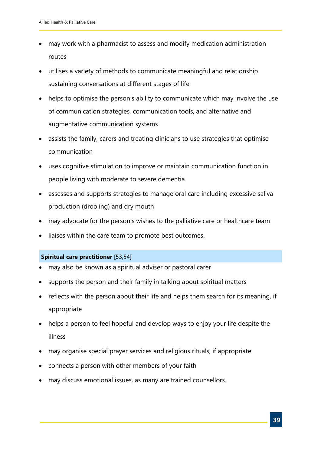- may work with a pharmacist to assess and modify medication administration routes
- utilises a variety of methods to communicate meaningful and relationship sustaining conversations at different stages of life
- helps to optimise the person's ability to communicate which may involve the use of communication strategies, communication tools, and alternative and augmentative communication systems
- assists the family, carers and treating clinicians to use strategies that optimise communication
- uses cognitive stimulation to improve or maintain communication function in people living with moderate to severe dementia
- assesses and supports strategies to manage oral care including excessive saliva production (drooling) and dry mouth
- may advocate for the person's wishes to the palliative care or healthcare team
- liaises within the care team to promote best outcomes.

#### **Spiritual care practitioner** [53,54]

- may also be known as a spiritual adviser or pastoral carer
- supports the person and their family in talking about spiritual matters
- reflects with the person about their life and helps them search for its meaning, if appropriate
- helps a person to feel hopeful and develop ways to enjoy your life despite the illness
- may organise special prayer services and religious rituals, if appropriate
- connects a person with other members of your faith
- may discuss emotional issues, as many are trained counsellors.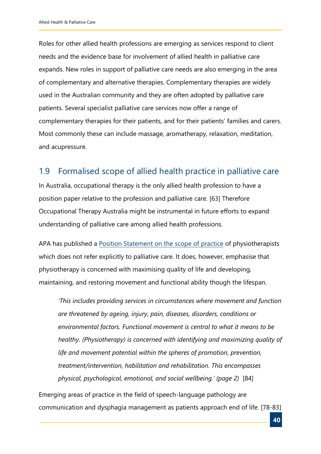Roles for other allied health professions are emerging as services respond to client needs and the evidence base for involvement of allied health in palliative care expands. New roles in support of palliative care needs are also emerging in the area of complementary and alternative therapies. Complementary therapies are widely used in the Australian community and they are often adopted by palliative care patients. Several specialist palliative care services now offer a range of complementary therapies for their patients, and for their patients' families and carers. Most commonly these can include massage, aromatherapy, relaxation, meditation, and acupressure.

### <span id="page-39-0"></span>1.9 Formalised scope of allied health practice in palliative care

In Australia, occupational therapy is the only allied health profession to have a position paper relative to the profession and palliative care. [63] Therefore Occupational Therapy Australia might be instrumental in future efforts to expand understanding of palliative care among allied health professions.

APA has published a Position Statement [on the scope of practice](http://www.physiotherapy.asn.au/DocumentsFolder/APAWCM/Advocacy/Scope%20of%20Practice_with%20on%20brand%20diagrams.pdf) of physiotherapists which does not refer explicitly to palliative care. It does, however, emphasise that physiotherapy is concerned with maximising quality of life and developing, maintaining, and restoring movement and functional ability though the lifespan.

*'This includes providing services in circumstances where movement and function are threatened by ageing, injury, pain, diseases, disorders, conditions or environmental factors. Functional movement is central to what it means to be healthy. (Physiotherapy) is concerned with identifying and maximizing quality of life and movement potential within the spheres of promotion, prevention, treatment/intervention, habilitation and rehabilitation. This encompasses physical, psychological, emotional, and social wellbeing.' (page 2)* [84]

Emerging areas of practice in the field of speech-language pathology are communication and dysphagia management as patients approach end of life. [78-83]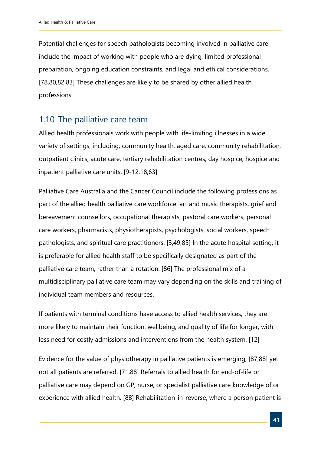Potential challenges for speech pathologists becoming involved in palliative care include the impact of working with people who are dying, limited professional preparation, ongoing education constraints, and legal and ethical considerations. [78,80,82,83] These challenges are likely to be shared by other allied health professions.

### <span id="page-40-0"></span>1.10 The palliative care team

Allied health professionals work with people with life-limiting illnesses in a wide variety of settings, including; community health, aged care, community rehabilitation, outpatient clinics, acute care, tertiary rehabilitation centres, day hospice, hospice and inpatient palliative care units. [9-12,18,63]

Palliative Care Australia and the Cancer Council include the following professions as part of the allied health palliative care workforce: art and music therapists, grief and bereavement counsellors, occupational therapists, pastoral care workers, personal care workers, pharmacists, physiotherapists, psychologists, social workers, speech pathologists, and spiritual care practitioners. [3,49,85] In the acute hospital setting, it is preferable for allied health staff to be specifically designated as part of the palliative care team, rather than a rotation. [86] The professional mix of a multidisciplinary palliative care team may vary depending on the skills and training of individual team members and resources.

If patients with terminal conditions have access to allied health services, they are more likely to maintain their function, wellbeing, and quality of life for longer, with less need for costly admissions and interventions from the health system. [12]

Evidence for the value of physiotherapy in palliative patients is emerging, [87,88] yet not all patients are referred. [71,88] Referrals to allied health for end-of-life or palliative care may depend on GP, nurse, or specialist palliative care knowledge of or experience with allied health. [88] Rehabilitation-in-reverse, where a person patient is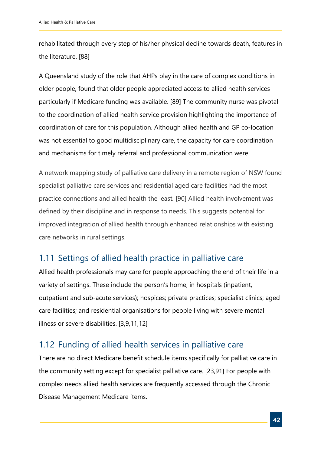rehabilitated through every step of his/her physical decline towards death, features in the literature. [88]

A Queensland study of the role that AHPs play in the care of complex conditions in older people, found that older people appreciated access to allied health services particularly if Medicare funding was available. [89] The community nurse was pivotal to the coordination of allied health service provision highlighting the importance of coordination of care for this population. Although allied health and GP co-location was not essential to good multidisciplinary care, the capacity for care coordination and mechanisms for timely referral and professional communication were.

A network mapping study of palliative care delivery in a remote region of NSW found specialist palliative care services and residential aged care facilities had the most practice connections and allied health the least*.* [90] Allied health involvement was defined by their discipline and in response to needs. This suggests potential for improved integration of allied health through enhanced relationships with existing care networks in rural settings.

## <span id="page-41-0"></span>1.11 Settings of allied health practice in palliative care

Allied health professionals may care for people approaching the end of their life in a variety of settings. These include the person's home; in hospitals (inpatient, outpatient and sub-acute services); hospices; private practices; specialist clinics; aged care facilities; and residential organisations for people living with severe mental illness or severe disabilities. [3,9,11,12]

### <span id="page-41-1"></span>1.12 Funding of allied health services in palliative care

There are no direct Medicare benefit schedule items specifically for palliative care in the community setting except for specialist palliative care. [23,91] For people with complex needs allied health services are frequently accessed through the Chronic Disease Management Medicare items.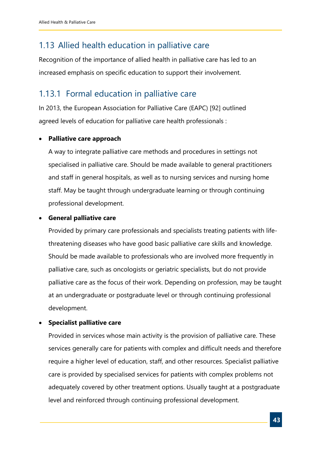## <span id="page-42-0"></span>1.13 Allied health education in palliative care

Recognition of the importance of allied health in palliative care has led to an increased emphasis on specific education to support their involvement.

## <span id="page-42-1"></span>1.13.1 Formal education in palliative care

In 2013, the European Association for Palliative Care (EAPC) [92] outlined agreed levels of education for palliative care health professionals :

#### • **Palliative care approach**

A way to integrate palliative care methods and procedures in settings not specialised in palliative care. Should be made available to general practitioners and staff in general hospitals, as well as to nursing services and nursing home staff. May be taught through undergraduate learning or through continuing professional development.

#### • **General palliative care**

Provided by primary care professionals and specialists treating patients with lifethreatening diseases who have good basic palliative care skills and knowledge. Should be made available to professionals who are involved more frequently in palliative care, such as oncologists or geriatric specialists, but do not provide palliative care as the focus of their work. Depending on profession, may be taught at an undergraduate or postgraduate level or through continuing professional development.

#### • **Specialist palliative care**

Provided in services whose main activity is the provision of palliative care. These services generally care for patients with complex and difficult needs and therefore require a higher level of education, staff, and other resources. Specialist palliative care is provided by specialised services for patients with complex problems not adequately covered by other treatment options. Usually taught at a postgraduate level and reinforced through continuing professional development.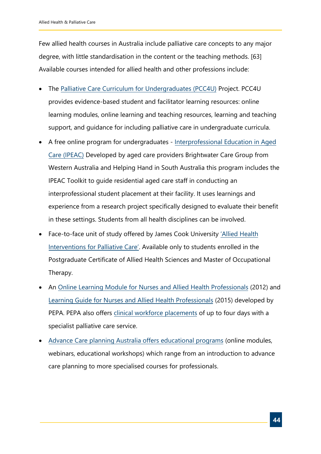Few allied health courses in Australia include palliative care concepts to any major degree, with little standardisation in the content or the teaching methods. [63] Available courses intended for allied health and other professions include:

- The Palliative Care [Curriculum for Undergraduates \(PCC4U\)](http://www.pcc4u.org/) Project. PCC4U provides evidence-based student and facilitator learning resources: online learning modules, online learning and teaching resources, learning and teaching support, and guidance for including palliative care in undergraduate curricula.
- A free online program for undergraduates  [Interprofessional Education in Aged](https://brightwatergroup.com/research/ipeac-toolkit/) Care (IPEAC) Developed by aged care providers Brightwater Care Group from Western Australia and Helping Hand in South Australia this program includes the IPEAC Toolkit to guide residential aged care staff in conducting an interprofessional student placement at their facility. It uses learnings and experience from a research project specifically designed to evaluate their benefit in these settings. Students from all health disciplines can be involved.
- [Face-to-face unit of study offered by James Cook University 'Allied Health](https://secure.jcu.edu.au/app/studyfinder/index.cfm?subject=OT5008&year=2017&transform=subjectwebview.xslt) Interventions for Palliative Care'. Available only to students enrolled in the Postgraduate Certificate of Allied Health Sciences and Master of Occupational Therapy.
- An [Online Learning Module for Nurses and Allied Health Professionals](https://pepaeducation.com/support-and-education/online-learning-modules/) (2012) and [Learning Guide for Nurses](https://pepaeducation.com/support-and-education/pepa-learning-guides/) and Allied Health Professionals (2015) developed by PEPA. PEPA also offers [clinical workforce placements](https://pepaeducation.com/placements/) of up to four days with a specialist palliative care service.
- Advance Care [planning Australia offers educational programs](https://learning.advancecareplanning.org.au/) (online modules, webinars, educational workshops) which range from an introduction to advance care planning to more specialised courses for professionals.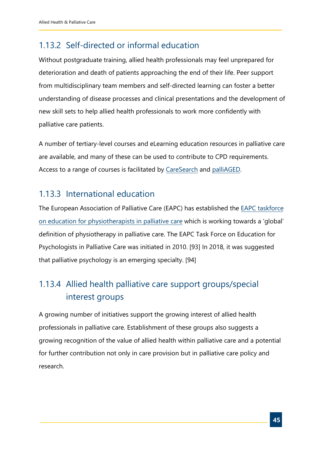## <span id="page-44-0"></span>1.13.2 Self-directed or informal education

Without postgraduate training, allied health professionals may feel unprepared for deterioration and death of patients approaching the end of their life. Peer support from multidisciplinary team members and self-directed learning can foster a better understanding of disease processes and clinical presentations and the development of new skill sets to help allied health professionals to work more confidently with palliative care patients.

A number of tertiary-level courses and eLearning education resources in palliative care are available, and many of these can be used to contribute to CPD requirements. Access to a range of courses is facilitated by [CareSearch](https://www.caresearch.com.au/caresearch/tabid/3953/Default.aspx) and [palliAGED.](https://www.palliaged.com.au/tabid/5683/Default.aspx)

## <span id="page-44-1"></span>1.13.3 International education

The European Association of Palliative Care (EAPC) has established the EAPC taskforce on education for physiotherapists in palliative care which is [working towards](https://www.eapcnet.eu/) a 'global' definition of physiotherapy in palliative care. The EAPC Task Force on Education for Psychologists in Palliative Care was initiated in 2010. [93] In 2018, it was suggested that palliative psychology is an emerging specialty. [94]

## <span id="page-44-2"></span>1.13.4 Allied health palliative care support groups/special interest groups

A growing number of initiatives support the growing interest of allied health professionals in palliative care. Establishment of these groups also suggests a growing recognition of the value of allied health within palliative care and a potential for further contribution not only in care provision but in palliative care policy and research.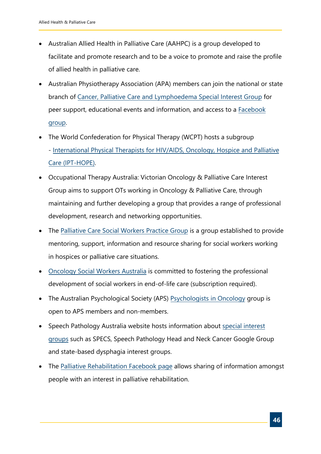- Australian Allied Health in Palliative Care (AAHPC) is a group developed to facilitate and promote research and to be a voice to promote and raise the profile of allied health in palliative care.
- Australian Physiotherapy Association (APA) members can join the national or state branch of Canc[er, Palliative Care and Lymphoedema Special Interest Group](https://australian.physio/membership/national-groups/cancer-palliative-care-and-lymphoedema) for peer support, [educational events and information,](https://www.facebook.com/groups/1532667837033409/?ref=group_browse_new#_=_) and access to a Facebook group.
- The World Confederation for Physical Therapy (WCPT) hosts a subgroup - [International Physical Therapists for HIV/AIDS, Oncology, Hospice and Palliative](https://www.wcpt.org/node/49580) Care (IPT-HOPE).
- Occupational Therapy Australia: Victorian Oncology & Palliative Care Interest Group aims to support OTs working in Oncology & Palliative Care, through maintaining and further developing a group that provides a range of professional development, research and networking opportunities.
- The [Palliative Care Social Workers Practice Group](https://www.aasw.asn.au/new-south-wales/groups/palliative-care) is a group established to provide mentoring, support, information and resource sharing for social workers working in hospices or palliative care situations.
- [Oncology Social Workers Australia](http://oswa.net.au/) is committed to fostering the professional development of social workers in end-of-life care (subscription required).
- The Australian Psychological Society (APS) [Psychologists in Oncology](https://groups.psychology.org.au/igs/) group is open to APS members and non-members.
- [Speech Pathology Australia website hosts information about special interest](https://www.speechpathologyaustralia.org.au/SPAweb/Resources_For_Speech_Pathologists/Non_SPA_Resources/Special_Interest_Groups/SPAweb/Resources_for_Speech_Pathologists/Non_SPA_Resources/Special_Interest_Groups.aspx?hkey=c1a0adee-4577-45e1-9c1e-31ee203f2789) groups such as SPECS, Speech Pathology Head and Neck Cancer Google Group and state-based dysphagia interest groups.
- The [Palliative Rehabilitation Facebook page](https://www.facebook.com/groups/110818868948811/?ref=ts&fref=ts) allows sharing of information amongst people with an interest in palliative rehabilitation.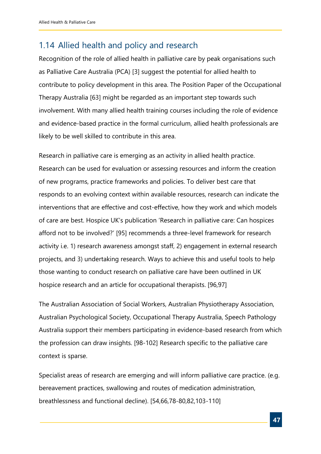## <span id="page-46-0"></span>1.14 Allied health and policy and research

Recognition of the role of allied health in palliative care by peak organisations such as Palliative Care Australia (PCA) [3] suggest the potential for allied health to contribute to policy development in this area. The Position Paper of the Occupational Therapy Australia [63] might be regarded as an important step towards such involvement. With many allied health training courses including the role of evidence and evidence-based practice in the formal curriculum, allied health professionals are likely to be well skilled to contribute in this area.

Research in palliative care is emerging as an activity in allied health practice. Research can be used for evaluation or assessing resources and inform the creation of new programs, practice frameworks and policies. To deliver best care that responds to an evolving context within available resources, research can indicate the interventions that are effective and cost-effective, how they work and which models of care are best. Hospice UK's publication 'Research in palliative care: Can hospices afford not to be involved?' [95] recommends a three-level framework for research activity i.e. 1) research awareness amongst staff, 2) engagement in external research projects, and 3) undertaking research. Ways to achieve this and useful tools to help those wanting to conduct research on palliative care have been outlined in UK hospice research and an article for occupational therapists. [96,97]

The Australian Association of Social Workers, Australian Physiotherapy Association, Australian Psychological Society, Occupational Therapy Australia, Speech Pathology Australia support their members participating in evidence-based research from which the profession can draw insights. [98-102] Research specific to the palliative care context is sparse.

Specialist areas of research are emerging and will inform palliative care practice. (e.g. bereavement practices, swallowing and routes of medication administration, breathlessness and functional decline). [54,66,78-80,82,103-110]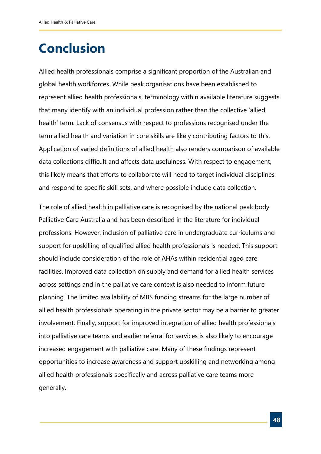## <span id="page-47-0"></span>**Conclusion**

Allied health professionals comprise a significant proportion of the Australian and global health workforces. While peak organisations have been established to represent allied health professionals, terminology within available literature suggests that many identify with an individual profession rather than the collective 'allied health' term. Lack of consensus with respect to professions recognised under the term allied health and variation in core skills are likely contributing factors to this. Application of varied definitions of allied health also renders comparison of available data collections difficult and affects data usefulness. With respect to engagement, this likely means that efforts to collaborate will need to target individual disciplines and respond to specific skill sets, and where possible include data collection.

The role of allied health in palliative care is recognised by the national peak body Palliative Care Australia and has been described in the literature for individual professions. However, inclusion of palliative care in undergraduate curriculums and support for upskilling of qualified allied health professionals is needed. This support should include consideration of the role of AHAs within residential aged care facilities. Improved data collection on supply and demand for allied health services across settings and in the palliative care context is also needed to inform future planning. The limited availability of MBS funding streams for the large number of allied health professionals operating in the private sector may be a barrier to greater involvement. Finally, support for improved integration of allied health professionals into palliative care teams and earlier referral for services is also likely to encourage increased engagement with palliative care. Many of these findings represent opportunities to increase awareness and support upskilling and networking among allied health professionals specifically and across palliative care teams more generally.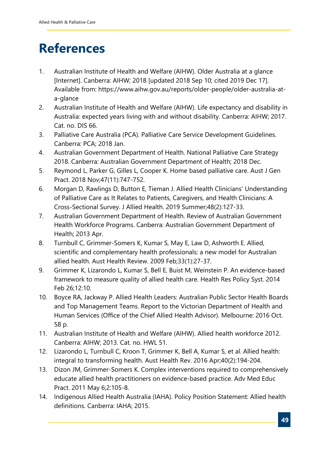## <span id="page-48-0"></span>**References**

- 1. Australian Institute of Health and Welfare (AIHW). Older Australia at a glance [Internet]. Canberra: AIHW; 2018 [updated 2018 Sep 10; cited 2019 Dec 17]. Available from: https://www.aihw.gov.au/reports/older-people/older-australia-ata-glance
- 2. Australian Institute of Health and Welfare (AIHW). Life expectancy and disability in Australia: expected years living with and without disability. Canberra: AIHW; 2017. Cat. no. DIS 66.
- 3. Palliative Care Australia (PCA). Palliative Care Service Development Guidelines. Canberra: PCA; 2018 Jan.
- 4. Australian Government Department of Health. National Palliative Care Strategy 2018. Canberra: Australian Government Department of Health; 2018 Dec.
- 5. Reymond L, Parker G, Gilles L, Cooper K. Home based palliative care. Aust J Gen Pract. 2018 Nov;47(11):747-752.
- 6. Morgan D, Rawlings D, Button E, Tieman J. Allied Health Clinicians' Understanding of Palliative Care as It Relates to Patients, Caregivers, and Health Clinicians: A Cross-Sectional Survey. J Allied Health. 2019 Summer;48(2):127-33.
- 7. Australian Government Department of Health. Review of Australian Government Health Workforce Programs. Canberra: Australian Government Department of Health; 2013 Apr.
- 8. Turnbull C, Grimmer-Somers K, Kumar S, May E, Law D, Ashworth E. Allied, scientific and complementary health professionals: a new model for Australian allied health. Aust Health Review. 2009 Feb;33(1):27-37.
- 9. Grimmer K, Lizarondo L, Kumar S, Bell E, Buist M, Weinstein P. An evidence-based framework to measure quality of allied health care. Health Res Policy Syst. 2014 Feb 26;12:10.
- 10. Boyce RA, Jackway P. Allied Health Leaders: Australian Public Sector Health Boards and Top Management Teams. Report to the Victorian Department of Health and Human Services (Office of the Chief Allied Health Advisor). Melbourne: 2016 Oct. 58 p.
- 11. Australian Institute of Health and Welfare (AIHW). Allied health workforce 2012. Canberra: AIHW; 2013. Cat. no. HWL 51.
- 12. Lizarondo L, Turnbull C, Kroon T, Grimmer K, Bell A, Kumar S, et al. Allied health: integral to transforming health. Aust Health Rev. 2016 Apr;40(2):194-204.
- 13. Dizon JM, Grimmer-Somers K. Complex interventions required to comprehensively educate allied health practitioners on evidence-based practice. Adv Med Educ Pract. 2011 May 6;2:105-8.
- 14. Indigenous Allied Health Australia (IAHA). Policy Position Statement: Allied health definitions. Canberra: IAHA; 2015.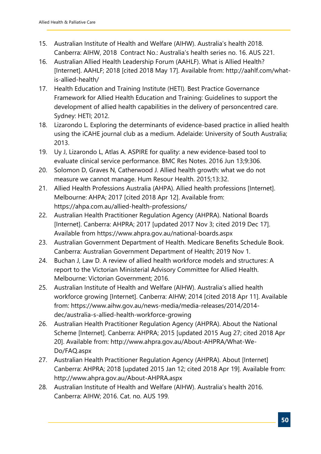- 15. Australian Institute of Health and Welfare (AIHW). Australia's health 2018. Canberra: AIHW, 2018 Contract No.: Australia's health series no. 16. AUS 221.
- 16. Australian Allied Health Leadership Forum (AAHLF). What is Allied Health? [Internet]. AAHLF; 2018 [cited 2018 May 17]. Available from: http://aahlf.com/whatis-allied-health/
- 17. Health Education and Training Institute (HETI). Best Practice Governance Framework for Allied Health Education and Training: Guidelines to support the development of allied health capabilities in the delivery of personcentred care. Sydney: HETI; 2012.
- 18. Lizarondo L. Exploring the determinants of evidence-based practice in allied health using the iCAHE journal club as a medium. Adelaide: University of South Australia; 2013.
- 19. Uy J, Lizarondo L, Atlas A. ASPIRE for quality: a new evidence-based tool to evaluate clinical service performance. BMC Res Notes. 2016 Jun 13;9:306.
- 20. Solomon D, Graves N, Catherwood J. Allied health growth: what we do not measure we cannot manage. Hum Resour Health. 2015;13:32.
- 21. Allied Health Professions Australia (AHPA). Allied health professions [Internet]. Melbourne: AHPA; 2017 [cited 2018 Apr 12]. Available from: https://ahpa.com.au/allied-health-professions/
- 22. Australian Health Practitioner Regulation Agency (AHPRA). National Boards [Internet]. Canberra: AHPRA; 2017 [updated 2017 Nov 3; cited 2019 Dec 17]. Available from https://www.ahpra.gov.au/national-boards.aspx
- 23. Australian Government Department of Health. Medicare Benefits Schedule Book. Canberra: Australian Government Department of Health; 2019 Nov 1.
- 24. Buchan J, Law D. A review of allied health workforce models and structures: A report to the Victorian Ministerial Advisory Committee for Allied Health. Melbourne: Victorian Government; 2016.
- 25. Australian Institute of Health and Welfare (AIHW). Australia's allied health workforce growing [Internet]. Canberra: AIHW; 2014 [cited 2018 Apr 11]. Available from: https://www.aihw.gov.au/news-media/media-releases/2014/2014 dec/australia-s-allied-health-workforce-growing
- 26. Australian Health Practitioner Regulation Agency (AHPRA). About the National Scheme [Internet]. Canberra: AHPRA; 2015 [updated 2015 Aug 27; cited 2018 Apr 20]. Available from: http://www.ahpra.gov.au/About-AHPRA/What-We-Do/FAQ.aspx
- 27. Australian Health Practitioner Regulation Agency (AHPRA). About [Internet] Canberra: AHPRA; 2018 [updated 2015 Jan 12; cited 2018 Apr 19]. Available from: http://www.ahpra.gov.au/About-AHPRA.aspx
- 28. Australian Institute of Health and Welfare (AIHW). Australia's health 2016. Canberra: AIHW; 2016. Cat. no. AUS 199.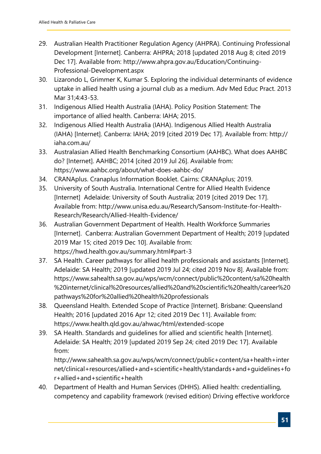- 29. Australian Health Practitioner Regulation Agency (AHPRA). Continuing Professional Development [Internet]. Canberra: AHPRA; 2018 [updated 2018 Aug 8; cited 2019 Dec 17]. Available from: http://www.ahpra.gov.au/Education/Continuing-Professional-Development.aspx
- 30. Lizarondo L, Grimmer K, Kumar S. Exploring the individual determinants of evidence uptake in allied health using a journal club as a medium. Adv Med Educ Pract. 2013 Mar 31;4:43-53.
- 31. Indigenous Allied Health Australia (IAHA). Policy Position Statement: The importance of allied health. Canberra: IAHA; 2015.
- 32. Indigenous Allied Health Australia (IAHA). Indigenous Allied Health Australia (IAHA) [Internet]. Canberra: IAHA; 2019 [cited 2019 Dec 17]. Available from: http:// iaha.com.au/
- 33. Australasian Allied Health Benchmarking Consortium (AAHBC). What does AAHBC do? [Internet]. AAHBC; 2014 [cited 2019 Jul 26]. Available from: https://www.aahbc.org/about/what-does-aahbc-do/
- 34. CRANAplus. Cranaplus Information Booklet. Cairns: CRANAplus; 2019.
- 35. University of South Australia. International Centre for Allied Health Evidence [Internet] Adelaide: University of South Australia; 2019 [cited 2019 Dec 17]. Available from: http://www.unisa.edu.au/Research/Sansom-Institute-for-Health-Research/Research/Allied-Health-Evidence/
- 36. Australian Government Department of Health. Health Workforce Summaries [Internet]. Canberra: Australian Government Department of Health; 2019 [updated 2019 Mar 15; cited 2019 Dec 10]. Available from: https://hwd.health.gov.au/summary.html#part-3
- 37. SA Health. Career pathways for allied health professionals and assistants [Internet]. Adelaide: SA Health; 2019 [updated 2019 Jul 24; cited 2019 Nov 8]. Available from: https://www.sahealth.sa.gov.au/wps/wcm/connect/public%20content/sa%20health %20internet/clinical%20resources/allied%20and%20scientific%20health/career%20 pathways%20for%20allied%20health%20professionals
- 38. Queensland Health. Extended Scope of Practice [Internet]. Brisbane: Queensland Health; 2016 [updated 2016 Apr 12; cited 2019 Dec 11]. Available from: https://www.health.qld.gov.au/ahwac/html/extended-scope
- 39. SA Health. Standards and guidelines for allied and scientific health [Internet]. Adelaide: SA Health; 2019 [updated 2019 Sep 24; cited 2019 Dec 17]. Available from:

http://www.sahealth.sa.gov.au/wps/wcm/connect/public+content/sa+health+inter net/clinical+resources/allied+and+scientific+health/standards+and+guidelines+fo r+allied+and+scientific+health

40. Department of Health and Human Services (DHHS). Allied health: credentialling, competency and capability framework (revised edition) Driving effective workforce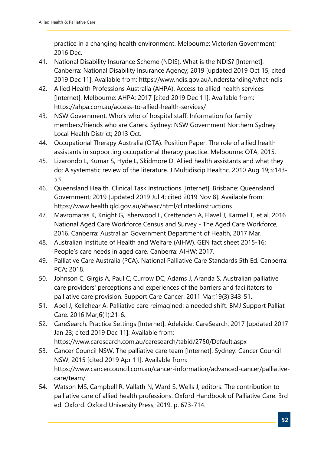practice in a changing health environment. Melbourne: Victorian Government; 2016 Dec.

- 41. National Disability Insurance Scheme (NDIS). What is the NDIS? [Internet]. Canberra: National Disability Insurance Agency; 2019 [updated 2019 Oct 15; cited 2019 Dec 11]. Available from: https://www.ndis.gov.au/understanding/what-ndis
- 42. Allied Health Professions Australia (AHPA). Access to allied health services [Internet]. Melbourne: AHPA; 2017 [cited 2019 Dec 11]. Available from: https://ahpa.com.au/access-to-allied-health-services/
- 43. NSW Government. Who's who of hospital staff: Information for family members/friends who are Carers. Sydney: NSW Government Northern Sydney Local Health District; 2013 Oct.
- 44. Occupational Therapy Australia (OTA). Position Paper: The role of allied health assistants in supporting occupational therapy practice. Melbourne: OTA; 2015.
- 45. Lizarondo L, Kumar S, Hyde L, Skidmore D. Allied health assistants and what they do: A systematic review of the literature. J Multidiscip Healthc. 2010 Aug 19;3:143- 53.
- 46. Queensland Health. Clinical Task Instructions [Internet]. Brisbane: Queensland Government; 2019 [updated 2019 Jul 4; cited 2019 Nov 8]. Available from: https://www.health.qld.gov.au/ahwac/html/clintaskinstructions
- 47. Mavromaras K, Knight G, Isherwood L, Crettenden A, Flavel J, Karmel T, et al. 2016 National Aged Care Workforce Census and Survey - The Aged Care Workforce, 2016. Canberra: Australian Government Department of Health, 2017 Mar.
- 48. Australian Institute of Health and Welfare (AIHW). GEN fact sheet 2015-16: People's care needs in aged care. Canberra: AIHW; 2017.
- 49. Palliative Care Australia (PCA). National Palliative Care Standards 5th Ed. Canberra: PCA; 2018.
- 50. Johnson C, Girgis A, Paul C, Currow DC, Adams J, Aranda S. Australian palliative care providers' perceptions and experiences of the barriers and facilitators to palliative care provision. Support Care Cancer. 2011 Mar;19(3):343-51.
- 51. Abel J, Kellehear A. Palliative care reimagined: a needed shift. BMJ Support Palliat Care. 2016 Mar;6(1):21-6.
- 52. CareSearch. Practice Settings [Internet]. Adelaide: CareSearch; 2017 [updated 2017 Jan 23; cited 2019 Dec 11]. Available from: https://www.caresearch.com.au/caresearch/tabid/2750/Default.aspx
- 53. Cancer Council NSW. The palliative care team [Internet]. Sydney: Cancer Council NSW; 2015 [cited 2019 Apr 11]. Available from: https://www.cancercouncil.com.au/cancer-information/advanced-cancer/palliativecare/team/
- 54. Watson MS, Campbell R, Vallath N, Ward S, Wells J, editors. The contribution to palliative care of allied health professions. Oxford Handbook of Palliative Care. 3rd ed. Oxford: Oxford University Press; 2019. p. 673-714.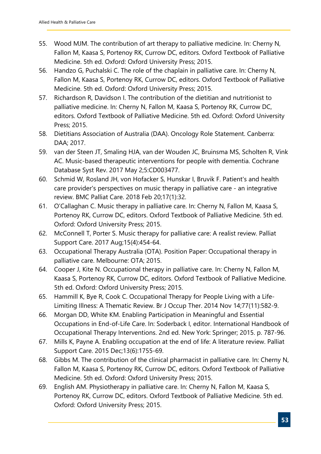- 55. Wood MJM. The contribution of art therapy to palliative medicine. In: Cherny N, Fallon M, Kaasa S, Portenoy RK, Currow DC, editors. Oxford Textbook of Palliative Medicine. 5th ed. Oxford: Oxford University Press; 2015.
- 56. Handzo G, Puchalski C. The role of the chaplain in palliative care. In: Cherny N, Fallon M, Kaasa S, Portenoy RK, Currow DC, editors. Oxford Textbook of Palliative Medicine. 5th ed. Oxford: Oxford University Press; 2015.
- 57. Richardson R, Davidson I. The contribution of the dietitian and nutritionist to palliative medicine. In: Cherny N, Fallon M, Kaasa S, Portenoy RK, Currow DC, editors. Oxford Textbook of Palliative Medicine. 5th ed. Oxford: Oxford University Press; 2015.
- 58. Dietitians Association of Australia (DAA). Oncology Role Statement. Canberra: DAA; 2017.
- 59. van der Steen JT, Smaling HJA, van der Wouden JC, Bruinsma MS, Scholten R, Vink AC. Music-based therapeutic interventions for people with dementia. Cochrane Database Syst Rev. 2017 May 2;5:CD003477.
- 60. Schmid W, Rosland JH, von Hofacker S, Hunskar I, Bruvik F. Patient's and health care provider's perspectives on music therapy in palliative care - an integrative review. BMC Palliat Care. 2018 Feb 20;17(1):32.
- 61. O'Callaghan C. Music therapy in palliative care. In: Cherny N, Fallon M, Kaasa S, Portenoy RK, Currow DC, editors. Oxford Textbook of Palliative Medicine. 5th ed. Oxford: Oxford University Press; 2015.
- 62. McConnell T, Porter S. Music therapy for palliative care: A realist review. Palliat Support Care. 2017 Aug;15(4):454-64.
- 63. Occupational Therapy Australia (OTA). Position Paper: Occupational therapy in palliative care. Melbourne: OTA; 2015.
- 64. Cooper J, Kite N. Occupational therapy in palliative care. In: Cherny N, Fallon M, Kaasa S, Portenoy RK, Currow DC, editors. Oxford Textbook of Palliative Medicine. 5th ed. Oxford: Oxford University Press; 2015.
- 65. Hammill K, Bye R, Cook C. Occupational Therapy for People Living with a Life-Limiting Illness: A Thematic Review. Br J Occup Ther. 2014 Nov 14;77(11):582-9.
- 66. Morgan DD, White KM. Enabling Participation in Meaningful and Essential Occupations in End-of-Life Care. In: Soderback I, editor. International Handbook of Occupational Therapy Interventions. 2nd ed. New York: Springer; 2015. p. 787-96.
- 67. Mills K, Payne A. Enabling occupation at the end of life: A literature review. Palliat Support Care. 2015 Dec;13(6):1755-69.
- 68. Gibbs M. The contribution of the clinical pharmacist in palliative care. In: Cherny N, Fallon M, Kaasa S, Portenoy RK, Currow DC, editors. Oxford Textbook of Palliative Medicine. 5th ed. Oxford: Oxford University Press; 2015.
- 69. English AM. Physiotherapy in palliative care. In: Cherny N, Fallon M, Kaasa S, Portenoy RK, Currow DC, editors. Oxford Textbook of Palliative Medicine. 5th ed. Oxford: Oxford University Press; 2015.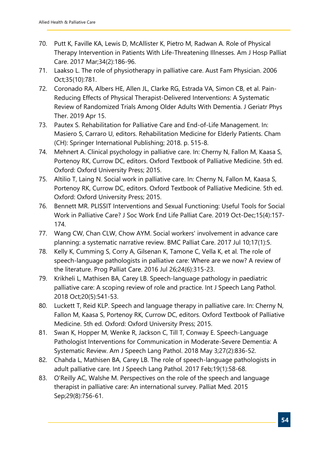- 70. Putt K, Faville KA, Lewis D, McAllister K, Pietro M, Radwan A. Role of Physical Therapy Intervention in Patients With Life-Threatening Illnesses. Am J Hosp Palliat Care. 2017 Mar;34(2):186-96.
- 71. Laakso L. The role of physiotherapy in palliative care. Aust Fam Physician. 2006 Oct;35(10):781.
- 72. Coronado RA, Albers HE, Allen JL, Clarke RG, Estrada VA, Simon CB, et al. Pain-Reducing Effects of Physical Therapist-Delivered Interventions: A Systematic Review of Randomized Trials Among Older Adults With Dementia. J Geriatr Phys Ther. 2019 Apr 15.
- 73. Pautex S. Rehabilitation for Palliative Care and End-of-Life Management. In: Masiero S, Carraro U, editors. Rehabilitation Medicine for Elderly Patients. Cham (CH): Springer International Publishing; 2018. p. 515-8.
- 74. Mehnert A. Clinical psychology in palliative care. In: Cherny N, Fallon M, Kaasa S, Portenoy RK, Currow DC, editors. Oxford Textbook of Palliative Medicine. 5th ed. Oxford: Oxford University Press; 2015.
- 75. Altilio T, Laing N. Social work in palliative care. In: Cherny N, Fallon M, Kaasa S, Portenoy RK, Currow DC, editors. Oxford Textbook of Palliative Medicine. 5th ed. Oxford: Oxford University Press; 2015.
- 76. Bennett MR. PLISSIT Interventions and Sexual Functioning: Useful Tools for Social Work in Palliative Care? J Soc Work End Life Palliat Care. 2019 Oct-Dec;15(4):157- 174.
- 77. Wang CW, Chan CLW, Chow AYM. Social workers' involvement in advance care planning: a systematic narrative review. BMC Palliat Care. 2017 Jul 10;17(1):5.
- 78. Kelly K, Cumming S, Corry A, Gilsenan K, Tamone C, Vella K, et al. The role of speech-language pathologists in palliative care: Where are we now? A review of the literature. Prog Palliat Care. 2016 Jul 26;24(6):315-23.
- 79. Krikheli L, Mathisen BA, Carey LB. Speech-language pathology in paediatric palliative care: A scoping review of role and practice. Int J Speech Lang Pathol. 2018 Oct;20(5):541-53.
- 80. Luckett T, Reid KLP. Speech and language therapy in palliative care. In: Cherny N, Fallon M, Kaasa S, Portenoy RK, Currow DC, editors. Oxford Textbook of Palliative Medicine. 5th ed. Oxford: Oxford University Press; 2015.
- 81. Swan K, Hopper M, Wenke R, Jackson C, Till T, Conway E. Speech-Language Pathologist Interventions for Communication in Moderate-Severe Dementia: A Systematic Review. Am J Speech Lang Pathol. 2018 May 3;27(2):836-52.
- 82. Chahda L, Mathisen BA, Carey LB. The role of speech-language pathologists in adult palliative care. Int J Speech Lang Pathol. 2017 Feb;19(1):58-68.
- 83. O'Reilly AC, Walshe M. Perspectives on the role of the speech and language therapist in palliative care: An international survey. Palliat Med. 2015 Sep;29(8):756-61.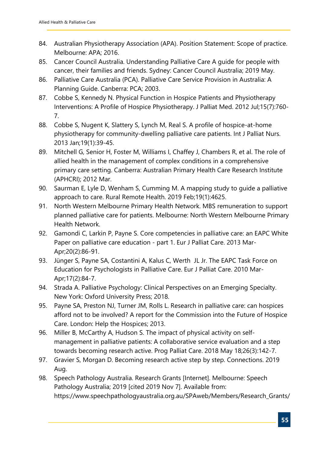- 84. Australian Physiotherapy Association (APA). Position Statement: Scope of practice. Melbourne: APA; 2016.
- 85. Cancer Council Australia. Understanding Palliative Care A guide for people with cancer, their families and friends. Sydney: Cancer Council Australia; 2019 May.
- 86. Palliative Care Australia (PCA). Palliative Care Service Provision in Australia: A Planning Guide. Canberra: PCA; 2003.
- 87. Cobbe S, Kennedy N. Physical Function in Hospice Patients and Physiotherapy Interventions: A Profile of Hospice Physiotherapy. J Palliat Med. 2012 Jul;15(7):760- 7.
- 88. Cobbe S, Nugent K, Slattery S, Lynch M, Real S. A profile of hospice-at-home physiotherapy for community-dwelling palliative care patients. Int J Palliat Nurs. 2013 Jan;19(1):39-45.
- 89. Mitchell G, Senior H, Foster M, Williams I, Chaffey J, Chambers R, et al. The role of allied health in the management of complex conditions in a comprehensive primary care setting. Canberra: Australian Primary Health Care Research Institute (APHCRI); 2012 Mar.
- 90. Saurman E, Lyle D, Wenham S, Cumming M. A mapping study to guide a palliative approach to care. Rural Remote Health. 2019 Feb;19(1):4625.
- 91. North Western Melbourne Primary Health Network. MBS remuneration to support planned palliative care for patients. Melbourne: North Western Melbourne Primary Health Network.
- 92. Gamondi C, Larkin P, Payne S. Core competencies in palliative care: an EAPC White Paper on palliative care education - part 1. Eur J Palliat Care. 2013 Mar-Apr;20(2):86-91.
- 93. Jünger S, Payne SA, Costantini A, Kalus C, Werth JL Jr. The EAPC Task Force on Education for Psychologists in Palliative Care. Eur J Palliat Care. 2010 Mar-Apr;17(2):84-7.
- 94. Strada A. Palliative Psychology: Clinical Perspectives on an Emerging Specialty. New York: Oxford University Press; 2018.
- 95. Payne SA, Preston NJ, Turner JM, Rolls L. Research in palliative care: can hospices afford not to be involved? A report for the Commission into the Future of Hospice Care. London: Help the Hospices; 2013.
- 96. Miller B, McCarthy A, Hudson S. The impact of physical activity on selfmanagement in palliative patients: A collaborative service evaluation and a step towards becoming research active. Prog Palliat Care. 2018 May 18;26(3):142-7.
- 97. Gravier S, Morgan D. Becoming research active step by step. Connections. 2019 Aug.
- 98. Speech Pathology Australia. Research Grants [Internet]. Melbourne: Speech Pathology Australia; 2019 [cited 2019 Nov 7]. Available from: https://www.speechpathologyaustralia.org.au/SPAweb/Members/Research\_Grants/